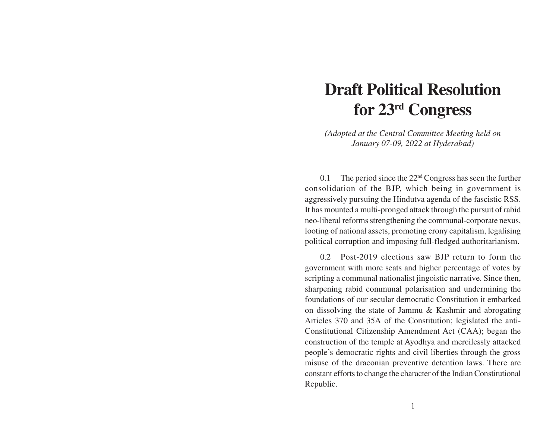# **Draft Political Resolution for 23rd Congress**

*(Adopted at the Central Committee Meeting held on January 07-09, 2022 at Hyderabad)*

0.1 The period since the  $22<sup>nd</sup> Congress$  has seen the further consolidation of the BJP, which being in government is aggressively pursuing the Hindutva agenda of the fascistic RSS. It has mounted a multi-pronged attack through the pursuit of rabid neo-liberal reforms strengthening the communal-corporate nexus, looting of national assets, promoting crony capitalism, legalising political corruption and imposing full-fledged authoritarianism.

0.2 Post-2019 elections saw BJP return to form the government with more seats and higher percentage of votes by scripting a communal nationalist jingoistic narrative. Since then, sharpening rabid communal polarisation and undermining the foundations of our secular democratic Constitution it embarked on dissolving the state of Jammu & Kashmir and abrogating Articles 370 and 35A of the Constitution; legislated the anti-Constitutional Citizenship Amendment Act (CAA); began the construction of the temple at Ayodhya and mercilessly attacked people's democratic rights and civil liberties through the gross misuse of the draconian preventive detention laws. There are constant efforts to change the character of the Indian Constitutional Republic.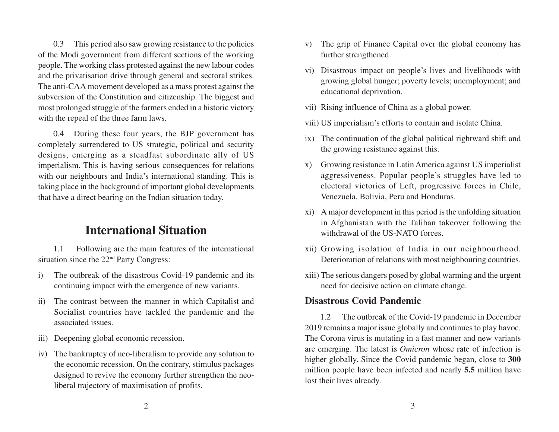0.3 This period also saw growing resistance to the policies of the Modi government from different sections of the working people. The working class protested against the new labour codes and the privatisation drive through general and sectoral strikes. The anti-CAA movement developed as a mass protest against the subversion of the Constitution and citizenship. The biggest and most prolonged struggle of the farmers ended in a historic victory with the repeal of the three farm laws.

0.4 During these four years, the BJP government has completely surrendered to US strategic, political and security designs, emerging as a steadfast subordinate ally of US imperialism. This is having serious consequences for relations with our neighbours and India's international standing. This is taking place in the background of important global developments that have a direct bearing on the Indian situation today.

# **International Situation**

1.1 Following are the main features of the international situation since the 22nd Party Congress:

- i) The outbreak of the disastrous Covid-19 pandemic and its continuing impact with the emergence of new variants.
- ii) The contrast between the manner in which Capitalist and Socialist countries have tackled the pandemic and the associated issues.
- iii) Deepening global economic recession.
- iv) The bankruptcy of neo-liberalism to provide any solution to the economic recession. On the contrary, stimulus packages designed to revive the economy further strengthen the neoliberal trajectory of maximisation of profits.
- v) The grip of Finance Capital over the global economy has further strengthened.
- vi) Disastrous impact on people's lives and livelihoods with growing global hunger; poverty levels; unemployment; and educational deprivation.
- vii) Rising influence of China as a global power.
- viii) US imperialism's efforts to contain and isolate China.
- ix) The continuation of the global political rightward shift and the growing resistance against this.
- x) Growing resistance in Latin America against US imperialist aggressiveness. Popular people's struggles have led to electoral victories of Left, progressive forces in Chile, Venezuela, Bolivia, Peru and Honduras.
- xi) A major development in this period is the unfolding situation in Afghanistan with the Taliban takeover following the withdrawal of the US-NATO forces.
- xii) Growing isolation of India in our neighbourhood. Deterioration of relations with most neighbouring countries.
- xiii) The serious dangers posed by global warming and the urgent need for decisive action on climate change.

#### **Disastrous Covid Pandemic**

1.2 The outbreak of the Covid-19 pandemic in December 2019 remains a major issue globally and continues to play havoc. The Corona virus is mutating in a fast manner and new variants are emerging. The latest is *Omicron* whose rate of infection is higher globally. Since the Covid pandemic began, close to **300** million people have been infected and nearly **5.5** million have lost their lives already.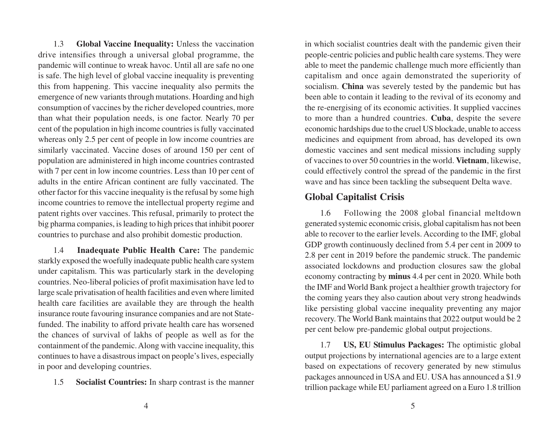1.3 **Global Vaccine Inequality:** Unless the vaccination drive intensifies through a universal global programme, the pandemic will continue to wreak havoc. Until all are safe no one is safe. The high level of global vaccine inequality is preventing this from happening. This vaccine inequality also permits the emergence of new variants through mutations. Hoarding and high consumption of vaccines by the richer developed countries, more than what their population needs, is one factor. Nearly 70 per cent of the population in high income countries is fully vaccinated whereas only 2.5 per cent of people in low income countries are similarly vaccinated. Vaccine doses of around 150 per cent of population are administered in high income countries contrasted with 7 per cent in low income countries. Less than 10 per cent of adults in the entire African continent are fully vaccinated. The other factor for this vaccine inequality is the refusal by some high income countries to remove the intellectual property regime and patent rights over vaccines. This refusal, primarily to protect the big pharma companies, is leading to high prices that inhibit poorer countries to purchase and also prohibit domestic production.

1.4 **Inadequate Public Health Care:** The pandemic starkly exposed the woefully inadequate public health care system under capitalism. This was particularly stark in the developing countries. Neo-liberal policies of profit maximisation have led to large scale privatisation of health facilities and even where limited health care facilities are available they are through the health insurance route favouring insurance companies and are not Statefunded. The inability to afford private health care has worsened the chances of survival of lakhs of people as well as for the containment of the pandemic. Along with vaccine inequality, this continues to have a disastrous impact on people's lives, especially in poor and developing countries.

1.5 **Socialist Countries:** In sharp contrast is the manner

in which socialist countries dealt with the pandemic given their people-centric policies and public health care systems. They were able to meet the pandemic challenge much more efficiently than capitalism and once again demonstrated the superiority of socialism. **China** was severely tested by the pandemic but has been able to contain it leading to the revival of its economy and the re-energising of its economic activities. It supplied vaccines to more than a hundred countries. **Cuba**, despite the severe economic hardships due to the cruel US blockade, unable to access medicines and equipment from abroad, has developed its own domestic vaccines and sent medical missions including supply of vaccines to over 50 countries in the world. **Vietnam**, likewise, could effectively control the spread of the pandemic in the first wave and has since been tackling the subsequent Delta wave.

#### **Global Capitalist Crisis**

1.6 Following the 2008 global financial meltdown generated systemic economic crisis, global capitalism has not been able to recover to the earlier levels. According to the IMF, global GDP growth continuously declined from 5.4 per cent in 2009 to 2.8 per cent in 2019 before the pandemic struck. The pandemic associated lockdowns and production closures saw the global economy contracting by **minus** 4.4 per cent in 2020. While both the IMF and World Bank project a healthier growth trajectory for the coming years they also caution about very strong headwinds like persisting global vaccine inequality preventing any major recovery. The World Bank maintains that 2022 output would be 2 per cent below pre-pandemic global output projections.

1.7 **US, EU Stimulus Packages:** The optimistic global output projections by international agencies are to a large extent based on expectations of recovery generated by new stimulus packages announced in USA and EU. USA has announced a \$1.9 trillion package while EU parliament agreed on a Euro 1.8 trillion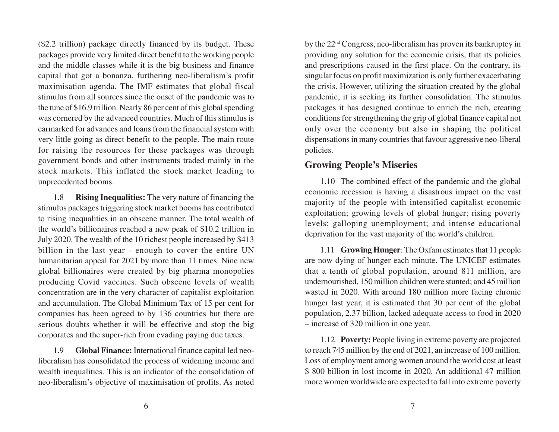(\$2.2 trillion) package directly financed by its budget. These packages provide very limited direct benefit to the working people and the middle classes while it is the big business and finance capital that got a bonanza, furthering neo-liberalism's profit maximisation agenda. The IMF estimates that global fiscal stimulus from all sources since the onset of the pandemic was to the tune of \$16.9 trillion. Nearly 86 per cent of this global spending was cornered by the advanced countries. Much of this stimulus is earmarked for advances and loans from the financial system with very little going as direct benefit to the people. The main route for raising the resources for these packages was through government bonds and other instruments traded mainly in the stock markets. This inflated the stock market leading to unprecedented booms.

1.8 **Rising Inequalities:** The very nature of financing the stimulus packages triggering stock market booms has contributed to rising inequalities in an obscene manner. The total wealth of the world's billionaires reached a new peak of \$10.2 trillion in July 2020. The wealth of the 10 richest people increased by \$413 billion in the last year - enough to cover the entire UN humanitarian appeal for 2021 by more than 11 times. Nine new global billionaires were created by big pharma monopolies producing Covid vaccines. Such obscene levels of wealth concentration are in the very character of capitalist exploitation and accumulation. The Global Minimum Tax of 15 per cent for companies has been agreed to by 136 countries but there are serious doubts whether it will be effective and stop the big corporates and the super-rich from evading paying due taxes.

1.9 **Global Finance:** International finance capital led neoliberalism has consolidated the process of widening income and wealth inequalities. This is an indicator of the consolidation of neo-liberalism's objective of maximisation of profits. As noted

by the 22nd Congress, neo-liberalism has proven its bankruptcy in providing any solution for the economic crisis, that its policies and prescriptions caused in the first place. On the contrary, its singular focus on profit maximization is only further exacerbating the crisis. However, utilizing the situation created by the global pandemic, it is seeking its further consolidation. The stimulus packages it has designed continue to enrich the rich, creating conditions for strengthening the grip of global finance capital not only over the economy but also in shaping the political dispensations in many countries that favour aggressive neo-liberal policies.

# **Growing People's Miseries**

1.10 The combined effect of the pandemic and the global economic recession is having a disastrous impact on the vast majority of the people with intensified capitalist economic exploitation; growing levels of global hunger; rising poverty levels; galloping unemployment; and intense educational deprivation for the vast majority of the world's children.

1.11 **Growing Hunger**: The Oxfam estimates that 11 people are now dying of hunger each minute. The UNICEF estimates that a tenth of global population, around 811 million, are undernourished, 150 million children were stunted; and 45 million wasted in 2020. With around 180 million more facing chronic hunger last year, it is estimated that 30 per cent of the global population, 2.37 billion, lacked adequate access to food in 2020 – increase of 320 million in one year.

1.12 **Poverty:** People living in extreme poverty are projected to reach 745 million by the end of 2021, an increase of 100 million. Loss of employment among women around the world cost at least \$ 800 billion in lost income in 2020. An additional 47 million more women worldwide are expected to fall into extreme poverty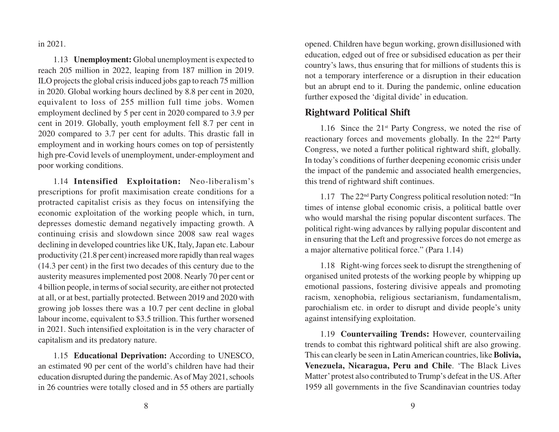in 2021.

1.13 **Unemployment:** Global unemployment is expected to reach 205 million in 2022, leaping from 187 million in 2019. ILO projects the global crisis induced jobs gap to reach 75 million in 2020. Global working hours declined by 8.8 per cent in 2020, equivalent to loss of 255 million full time jobs. Women employment declined by 5 per cent in 2020 compared to 3.9 per cent in 2019. Globally, youth employment fell 8.7 per cent in 2020 compared to 3.7 per cent for adults. This drastic fall in employment and in working hours comes on top of persistently high pre-Covid levels of unemployment, under-employment and poor working conditions.

1.14 **Intensified Exploitation:** Neo-liberalism's prescriptions for profit maximisation create conditions for a protracted capitalist crisis as they focus on intensifying the economic exploitation of the working people which, in turn, depresses domestic demand negatively impacting growth. A continuing crisis and slowdown since 2008 saw real wages declining in developed countries like UK, Italy, Japan etc. Labour productivity (21.8 per cent) increased more rapidly than real wages (14.3 per cent) in the first two decades of this century due to the austerity measures implemented post 2008. Nearly 70 per cent or 4 billion people, in terms of social security, are either not protected at all, or at best, partially protected. Between 2019 and 2020 with growing job losses there was a 10.7 per cent decline in global labour income, equivalent to \$3.5 trillion. This further worsened in 2021. Such intensified exploitation is in the very character of capitalism and its predatory nature.

1.15 **Educational Deprivation:** According to UNESCO, an estimated 90 per cent of the world's children have had their education disrupted during the pandemic. As of May 2021, schools in 26 countries were totally closed and in 55 others are partially

opened. Children have begun working, grown disillusioned with education, edged out of free or subsidised education as per their country's laws, thus ensuring that for millions of students this is not a temporary interference or a disruption in their education but an abrupt end to it. During the pandemic, online education further exposed the 'digital divide' in education.

# **Rightward Political Shift**

1.16 Since the 21st Party Congress, we noted the rise of reactionary forces and movements globally. In the 22<sup>nd</sup> Party Congress, we noted a further political rightward shift, globally. In today's conditions of further deepening economic crisis under the impact of the pandemic and associated health emergencies, this trend of rightward shift continues.

1.17 The 22nd Party Congress political resolution noted: "In times of intense global economic crisis, a political battle over who would marshal the rising popular discontent surfaces. The political right-wing advances by rallying popular discontent and in ensuring that the Left and progressive forces do not emerge as a major alternative political force." (Para 1.14)

1.18 Right-wing forces seek to disrupt the strengthening of organised united protests of the working people by whipping up emotional passions, fostering divisive appeals and promoting racism, xenophobia, religious sectarianism, fundamentalism, parochialism etc. in order to disrupt and divide people's unity against intensifying exploitation.

1.19 **Countervailing Trends:** However, countervailing trends to combat this rightward political shift are also growing. This can clearly be seen in Latin American countries, like **Bolivia, Venezuela, Nicaragua, Peru and Chile**. 'The Black Lives Matter' protest also contributed to Trump's defeat in the US. After 1959 all governments in the five Scandinavian countries today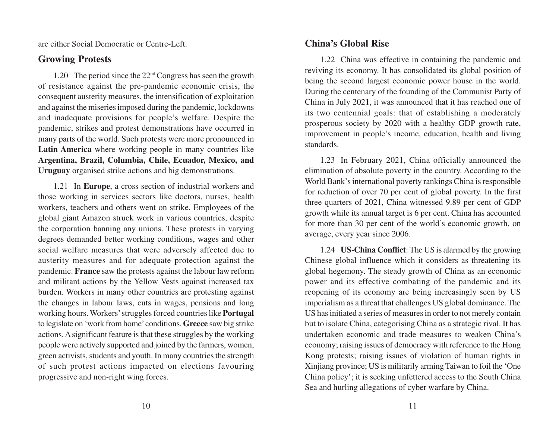are either Social Democratic or Centre-Left.

#### **Growing Protests**

1.20 The period since the 22nd Congress has seen the growth of resistance against the pre-pandemic economic crisis, the consequent austerity measures, the intensification of exploitation and against the miseries imposed during the pandemic, lockdowns and inadequate provisions for people's welfare. Despite the pandemic, strikes and protest demonstrations have occurred in many parts of the world. Such protests were more pronounced in **Latin America** where working people in many countries like **Argentina, Brazil, Columbia, Chile, Ecuador, Mexico, and Uruguay** organised strike actions and big demonstrations.

1.21 In **Europe**, a cross section of industrial workers and those working in services sectors like doctors, nurses, health workers, teachers and others went on strike. Employees of the global giant Amazon struck work in various countries, despite the corporation banning any unions. These protests in varying degrees demanded better working conditions, wages and other social welfare measures that were adversely affected due to austerity measures and for adequate protection against the pandemic. **France** saw the protests against the labour law reform and militant actions by the Yellow Vests against increased tax burden. Workers in many other countries are protesting against the changes in labour laws, cuts in wages, pensions and long working hours. Workers' struggles forced countries like **Portugal** to legislate on 'work from home' conditions. **Greece** saw big strike actions. A significant feature is that these struggles by the working people were actively supported and joined by the farmers, women, green activists, students and youth. In many countries the strength of such protest actions impacted on elections favouring progressive and non-right wing forces.

#### **China's Global Rise**

1.22 China was effective in containing the pandemic and reviving its economy. It has consolidated its global position of being the second largest economic power house in the world. During the centenary of the founding of the Communist Party of China in July 2021, it was announced that it has reached one of its two centennial goals: that of establishing a moderately prosperous society by 2020 with a healthy GDP growth rate, improvement in people's income, education, health and living standards.

1.23 In February 2021, China officially announced the elimination of absolute poverty in the country. According to the World Bank's international poverty rankings China is responsible for reduction of over 70 per cent of global poverty. In the first three quarters of 2021, China witnessed 9.89 per cent of GDP growth while its annual target is 6 per cent. China has accounted for more than 30 per cent of the world's economic growth, on average, every year since 2006.

1.24 **US-China Conflict**: The US is alarmed by the growing Chinese global influence which it considers as threatening its global hegemony. The steady growth of China as an economic power and its effective combating of the pandemic and its reopening of its economy are being increasingly seen by US imperialism as a threat that challenges US global dominance. The US has initiated a series of measures in order to not merely contain but to isolate China, categorising China as a strategic rival. It has undertaken economic and trade measures to weaken China's economy; raising issues of democracy with reference to the Hong Kong protests; raising issues of violation of human rights in Xinjiang province; US is militarily arming Taiwan to foil the 'One China policy'; it is seeking unfettered access to the South China Sea and hurling allegations of cyber warfare by China.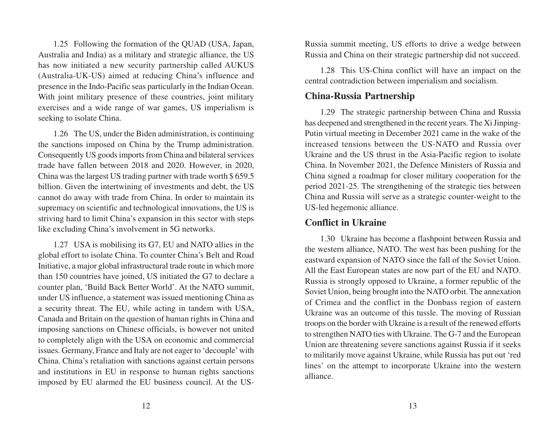1.25 Following the formation of the QUAD (USA, Japan, Australia and India) as a military and strategic alliance, the US has now initiated a new security partnership called AUKUS (Australia-UK-US) aimed at reducing China's influence and presence in the Indo-Pacific seas particularly in the Indian Ocean. With joint military presence of these countries, joint military exercises and a wide range of war games, US imperialism is seeking to isolate China.

1.26 The US, under the Biden administration, is continuing the sanctions imposed on China by the Trump administration. Consequently US goods imports from China and bilateral services trade have fallen between 2018 and 2020. However, in 2020, China was the largest US trading partner with trade worth \$ 659.5 billion. Given the intertwining of investments and debt, the US cannot do away with trade from China. In order to maintain its supremacy on scientific and technological innovations, the US is striving hard to limit China's expansion in this sector with steps like excluding China's involvement in 5G networks.

1.27 USA is mobilising its G7, EU and NATO allies in the global effort to isolate China. To counter China's Belt and Road Initiative, a major global infrastructural trade route in which more than 150 countries have joined, US initiated the G7 to declare a counter plan, 'Build Back Better World'. At the NATO summit, under US influence, a statement was issued mentioning China as a security threat. The EU, while acting in tandem with USA, Canada and Britain on the question of human rights in China and imposing sanctions on Chinese officials, is however not united to completely align with the USA on economic and commercial issues. Germany, France and Italy are not eager to 'decouple' with China. China's retaliation with sanctions against certain persons and institutions in EU in response to human rights sanctions imposed by EU alarmed the EU business council. At the US-

Russia summit meeting, US efforts to drive a wedge between Russia and China on their strategic partnership did not succeed.

1.28 This US-China conflict will have an impact on the central contradiction between imperialism and socialism.

#### **China-Russia Partnership**

1.29 The strategic partnership between China and Russia has deepened and strengthened in the recent years. The Xi Jinping-Putin virtual meeting in December 2021 came in the wake of the increased tensions between the US-NATO and Russia over Ukraine and the US thrust in the Asia-Pacific region to isolate China. In November 2021, the Defence Ministers of Russia and China signed a roadmap for closer military cooperation for the period 2021-25. The strengthening of the strategic ties between China and Russia will serve as a strategic counter-weight to the US-led hegemonic alliance.

#### **Conflict in Ukraine**

1.30 Ukraine has become a flashpoint between Russia and the western alliance, NATO. The west has been pushing for the eastward expansion of NATO since the fall of the Soviet Union. All the East European states are now part of the EU and NATO. Russia is strongly opposed to Ukraine, a former republic of the Soviet Union, being brought into the NATO orbit. The annexation of Crimea and the conflict in the Donbass region of eastern Ukraine was an outcome of this tussle. The moving of Russian troops on the border with Ukraine is a result of the renewed efforts to strengthen NATO ties with Ukraine. The G-7 and the European Union are threatening severe sanctions against Russia if it seeks to militarily move against Ukraine, while Russia has put out 'red lines' on the attempt to incorporate Ukraine into the western alliance.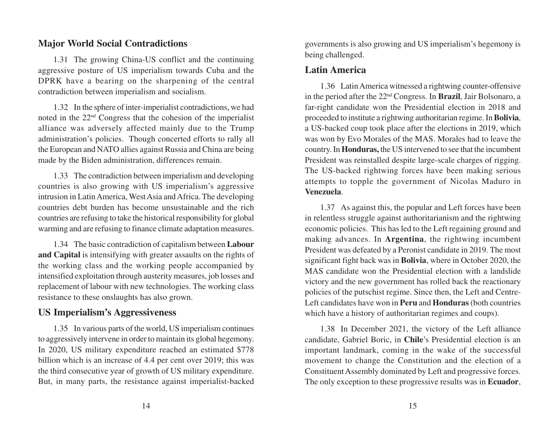# **Major World Social Contradictions**

1.31 The growing China-US conflict and the continuing aggressive posture of US imperialism towards Cuba and the DPRK have a bearing on the sharpening of the central contradiction between imperialism and socialism.

1.32 In the sphere of inter-imperialist contradictions, we had noted in the 22nd Congress that the cohesion of the imperialist alliance was adversely affected mainly due to the Trump administration's policies. Though concerted efforts to rally all the European and NATO allies against Russia and China are being made by the Biden administration, differences remain.

1.33 The contradiction between imperialism and developing countries is also growing with US imperialism's aggressive intrusion in Latin America, West Asia and Africa. The developing countries debt burden has become unsustainable and the rich countries are refusing to take the historical responsibility for global warming and are refusing to finance climate adaptation measures.

1.34 The basic contradiction of capitalism between **Labour and Capital** is intensifying with greater assaults on the rights of the working class and the working people accompanied by intensified exploitation through austerity measures, job losses and replacement of labour with new technologies. The working class resistance to these onslaughts has also grown.

# **US Imperialism's Aggressiveness**

1.35 In various parts of the world, US imperialism continues to aggressively intervene in order to maintain its global hegemony. In 2020, US military expenditure reached an estimated \$778 billion which is an increase of 4.4 per cent over 2019; this was the third consecutive year of growth of US military expenditure. But, in many parts, the resistance against imperialist-backed

governments is also growing and US imperialism's hegemony is being challenged.

# **Latin America**

1.36 Latin America witnessed a rightwing counter-offensive in the period after the 22nd Congress. In **Brazil**, Jair Bolsonaro, a far-right candidate won the Presidential election in 2018 and proceeded to institute a rightwing authoritarian regime. In **Bolivia**, a US-backed coup took place after the elections in 2019, which was won by Evo Morales of the MAS. Morales had to leave the country. In **Honduras,** the US intervened to see that the incumbent President was reinstalled despite large-scale charges of rigging. The US-backed rightwing forces have been making serious attempts to topple the government of Nicolas Maduro in **Venezuela**.

1.37 As against this, the popular and Left forces have been in relentless struggle against authoritarianism and the rightwing economic policies. This has led to the Left regaining ground and making advances. In **Argentina**, the rightwing incumbent President was defeated by a Peronist candidate in 2019. The most significant fight back was in **Bolivia**, where in October 2020, the MAS candidate won the Presidential election with a landslide victory and the new government has rolled back the reactionary policies of the putschist regime. Since then, the Left and Centre-Left candidates have won in **Peru** and **Honduras** (both countries which have a history of authoritarian regimes and coups).

1.38 In December 2021, the victory of the Left alliance candidate, Gabriel Boric, in **Chile**'s Presidential election is an important landmark, coming in the wake of the successful movement to change the Constitution and the election of a Constituent Assembly dominated by Left and progressive forces. The only exception to these progressive results was in **Ecuador**,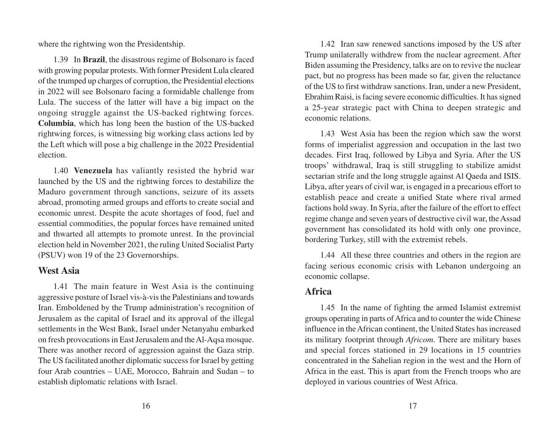where the rightwing won the Presidentship.

1.39 In **Brazil**, the disastrous regime of Bolsonaro is faced with growing popular protests. With former President Lula cleared of the trumped up charges of corruption, the Presidential elections in 2022 will see Bolsonaro facing a formidable challenge from Lula. The success of the latter will have a big impact on the ongoing struggle against the US-backed rightwing forces. **Columbia**, which has long been the bastion of the US-backed rightwing forces, is witnessing big working class actions led by the Left which will pose a big challenge in the 2022 Presidential election.

1.40 **Venezuela** has valiantly resisted the hybrid war launched by the US and the rightwing forces to destabilize the Maduro government through sanctions, seizure of its assets abroad, promoting armed groups and efforts to create social and economic unrest. Despite the acute shortages of food, fuel and essential commodities, the popular forces have remained united and thwarted all attempts to promote unrest. In the provincial election held in November 2021, the ruling United Socialist Party (PSUV) won 19 of the 23 Governorships.

#### **West Asia**

1.41 The main feature in West Asia is the continuing aggressive posture of Israel vis-à-vis the Palestinians and towards Iran. Emboldened by the Trump administration's recognition of Jerusalem as the capital of Israel and its approval of the illegal settlements in the West Bank, Israel under Netanyahu embarked on fresh provocations in East Jerusalem and the Al-Aqsa mosque. There was another record of aggression against the Gaza strip. The US facilitated another diplomatic success for Israel by getting four Arab countries – UAE, Morocco, Bahrain and Sudan – to establish diplomatic relations with Israel.

1.42 Iran saw renewed sanctions imposed by the US after Trump unilaterally withdrew from the nuclear agreement. After Biden assuming the Presidency, talks are on to revive the nuclear pact, but no progress has been made so far, given the reluctance of the US to first withdraw sanctions. Iran, under a new President, Ebrahim Raisi, is facing severe economic difficulties. It has signed a 25-year strategic pact with China to deepen strategic and economic relations.

1.43 West Asia has been the region which saw the worst forms of imperialist aggression and occupation in the last two decades. First Iraq, followed by Libya and Syria. After the US troops' withdrawal, Iraq is still struggling to stabilize amidst sectarian strife and the long struggle against Al Qaeda and ISIS. Libya, after years of civil war, is engaged in a precarious effort to establish peace and create a unified State where rival armed factions hold sway. In Syria, after the failure of the effort to effect regime change and seven years of destructive civil war, the Assad government has consolidated its hold with only one province, bordering Turkey, still with the extremist rebels.

1.44 All these three countries and others in the region are facing serious economic crisis with Lebanon undergoing an economic collapse.

# **Africa**

1.45 In the name of fighting the armed Islamist extremist groups operating in parts of Africa and to counter the wide Chinese influence in the African continent, the United States has increased its military footprint through *Africom*. There are military bases and special forces stationed in 29 locations in 15 countries concentrated in the Sahelian region in the west and the Horn of Africa in the east. This is apart from the French troops who are deployed in various countries of West Africa.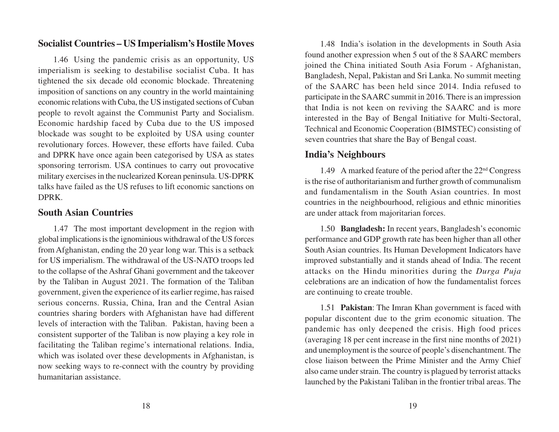# **Socialist Countries – US Imperialism's Hostile Moves**

1.46 Using the pandemic crisis as an opportunity, US imperialism is seeking to destabilise socialist Cuba. It has tightened the six decade old economic blockade. Threatening imposition of sanctions on any country in the world maintaining economic relations with Cuba, the US instigated sections of Cuban people to revolt against the Communist Party and Socialism. Economic hardship faced by Cuba due to the US imposed blockade was sought to be exploited by USA using counter revolutionary forces. However, these efforts have failed. Cuba and DPRK have once again been categorised by USA as states sponsoring terrorism. USA continues to carry out provocative military exercises in the nuclearized Korean peninsula. US-DPRK talks have failed as the US refuses to lift economic sanctions on DPRK.

#### **South Asian Countries**

1.47 The most important development in the region with global implications is the ignominious withdrawal of the US forces from Afghanistan, ending the 20 year long war. This is a setback for US imperialism. The withdrawal of the US-NATO troops led to the collapse of the Ashraf Ghani government and the takeover by the Taliban in August 2021. The formation of the Taliban government, given the experience of its earlier regime, has raised serious concerns. Russia, China, Iran and the Central Asian countries sharing borders with Afghanistan have had different levels of interaction with the Taliban. Pakistan, having been a consistent supporter of the Taliban is now playing a key role in facilitating the Taliban regime's international relations. India, which was isolated over these developments in Afghanistan, is now seeking ways to re-connect with the country by providing humanitarian assistance.

1.48 India's isolation in the developments in South Asia found another expression when 5 out of the 8 SAARC members joined the China initiated South Asia Forum - Afghanistan, Bangladesh, Nepal, Pakistan and Sri Lanka. No summit meeting of the SAARC has been held since 2014. India refused to participate in the SAARC summit in 2016. There is an impression that India is not keen on reviving the SAARC and is more interested in the Bay of Bengal Initiative for Multi-Sectoral, Technical and Economic Cooperation (BIMSTEC) consisting of seven countries that share the Bay of Bengal coast.

# **India's Neighbours**

1.49 A marked feature of the period after the 22nd Congress is the rise of authoritarianism and further growth of communalism and fundamentalism in the South Asian countries. In most countries in the neighbourhood, religious and ethnic minorities are under attack from majoritarian forces.

1.50 **Bangladesh:** In recent years, Bangladesh's economic performance and GDP growth rate has been higher than all other South Asian countries. Its Human Development Indicators have improved substantially and it stands ahead of India. The recent attacks on the Hindu minorities during the *Durga Puja* celebrations are an indication of how the fundamentalist forces are continuing to create trouble.

1.51 **Pakistan**: The Imran Khan government is faced with popular discontent due to the grim economic situation. The pandemic has only deepened the crisis. High food prices (averaging 18 per cent increase in the first nine months of 2021) and unemployment is the source of people's disenchantment. The close liaison between the Prime Minister and the Army Chief also came under strain. The country is plagued by terrorist attacks launched by the Pakistani Taliban in the frontier tribal areas. The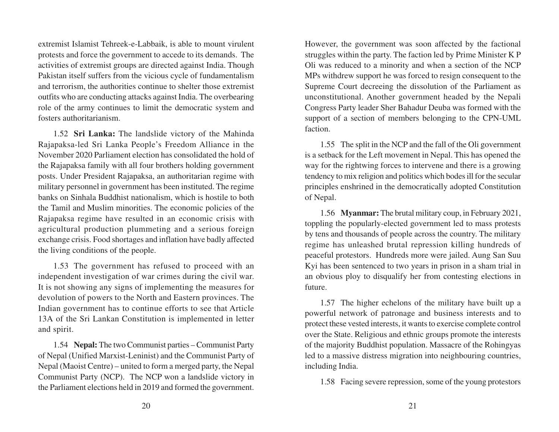extremist Islamist Tehreek-e-Labbaik, is able to mount virulent protests and force the government to accede to its demands. The activities of extremist groups are directed against India. Though Pakistan itself suffers from the vicious cycle of fundamentalism and terrorism, the authorities continue to shelter those extremist outfits who are conducting attacks against India. The overbearing role of the army continues to limit the democratic system and fosters authoritarianism.

1.52 **Sri Lanka:** The landslide victory of the Mahinda Rajapaksa-led Sri Lanka People's Freedom Alliance in the November 2020 Parliament election has consolidated the hold of the Rajapaksa family with all four brothers holding government posts. Under President Rajapaksa, an authoritarian regime with military personnel in government has been instituted. The regime banks on Sinhala Buddhist nationalism, which is hostile to both the Tamil and Muslim minorities. The economic policies of the Rajapaksa regime have resulted in an economic crisis with agricultural production plummeting and a serious foreign exchange crisis. Food shortages and inflation have badly affected the living conditions of the people.

1.53 The government has refused to proceed with an independent investigation of war crimes during the civil war. It is not showing any signs of implementing the measures for devolution of powers to the North and Eastern provinces. The Indian government has to continue efforts to see that Article 13A of the Sri Lankan Constitution is implemented in letter and spirit.

1.54 **Nepal:** The two Communist parties – Communist Party of Nepal (Unified Marxist-Leninist) and the Communist Party of Nepal (Maoist Centre) – united to form a merged party, the Nepal Communist Party (NCP). The NCP won a landslide victory in the Parliament elections held in 2019 and formed the government.

However, the government was soon affected by the factional struggles within the party. The faction led by Prime Minister K P Oli was reduced to a minority and when a section of the NCP MPs withdrew support he was forced to resign consequent to the Supreme Court decreeing the dissolution of the Parliament as unconstitutional. Another government headed by the Nepali Congress Party leader Sher Bahadur Deuba was formed with the support of a section of members belonging to the CPN-UML faction.

1.55 The split in the NCP and the fall of the Oli government is a setback for the Left movement in Nepal. This has opened the way for the rightwing forces to intervene and there is a growing tendency to mix religion and politics which bodes ill for the secular principles enshrined in the democratically adopted Constitution of Nepal.

1.56 **Myanmar:** The brutal military coup, in February 2021, toppling the popularly-elected government led to mass protests by tens and thousands of people across the country. The military regime has unleashed brutal repression killing hundreds of peaceful protestors. Hundreds more were jailed. Aung San Suu Kyi has been sentenced to two years in prison in a sham trial in an obvious ploy to disqualify her from contesting elections in future.

1.57 The higher echelons of the military have built up a powerful network of patronage and business interests and to protect these vested interests, it wants to exercise complete control over the State. Religious and ethnic groups promote the interests of the majority Buddhist population. Massacre of the Rohingyas led to a massive distress migration into neighbouring countries, including India.

1.58 Facing severe repression, some of the young protestors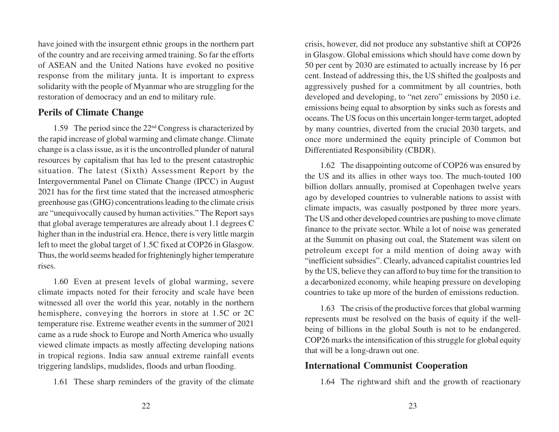have joined with the insurgent ethnic groups in the northern part of the country and are receiving armed training. So far the efforts of ASEAN and the United Nations have evoked no positive response from the military junta. It is important to express solidarity with the people of Myanmar who are struggling for the restoration of democracy and an end to military rule.

#### **Perils of Climate Change**

1.59 The period since the 22nd Congress is characterized by the rapid increase of global warming and climate change. Climate change is a class issue, as it is the uncontrolled plunder of natural resources by capitalism that has led to the present catastrophic situation. The latest (Sixth) Assessment Report by the Intergovernmental Panel on Climate Change (IPCC) in August 2021 has for the first time stated that the increased atmospheric greenhouse gas (GHG) concentrations leading to the climate crisis are "unequivocally caused by human activities." The Report says that global average temperatures are already about 1.1 degrees C higher than in the industrial era. Hence, there is very little margin left to meet the global target of 1.5C fixed at COP26 in Glasgow. Thus, the world seems headed for frighteningly higher temperature rises.

1.60 Even at present levels of global warming, severe climate impacts noted for their ferocity and scale have been witnessed all over the world this year, notably in the northern hemisphere, conveying the horrors in store at 1.5C or 2C temperature rise. Extreme weather events in the summer of 2021 came as a rude shock to Europe and North America who usually viewed climate impacts as mostly affecting developing nations in tropical regions. India saw annual extreme rainfall events triggering landslips, mudslides, floods and urban flooding.

1.61 These sharp reminders of the gravity of the climate

crisis, however, did not produce any substantive shift at COP26 in Glasgow. Global emissions which should have come down by 50 per cent by 2030 are estimated to actually increase by 16 per cent. Instead of addressing this, the US shifted the goalposts and aggressively pushed for a commitment by all countries, both developed and developing, to "net zero" emissions by 2050 i.e. emissions being equal to absorption by sinks such as forests and oceans. The US focus on this uncertain longer-term target, adopted by many countries, diverted from the crucial 2030 targets, and once more undermined the equity principle of Common but Differentiated Responsibility (CBDR).

1.62 The disappointing outcome of COP26 was ensured by the US and its allies in other ways too. The much-touted 100 billion dollars annually, promised at Copenhagen twelve years ago by developed countries to vulnerable nations to assist with climate impacts, was casually postponed by three more years. The US and other developed countries are pushing to move climate finance to the private sector. While a lot of noise was generated at the Summit on phasing out coal, the Statement was silent on petroleum except for a mild mention of doing away with "inefficient subsidies". Clearly, advanced capitalist countries led by the US, believe they can afford to buy time for the transition to a decarbonized economy, while heaping pressure on developing countries to take up more of the burden of emissions reduction.

1.63 The crisis of the productive forces that global warming represents must be resolved on the basis of equity if the wellbeing of billions in the global South is not to be endangered. COP26 marks the intensification of this struggle for global equity that will be a long-drawn out one.

#### **International Communist Cooperation**

1.64 The rightward shift and the growth of reactionary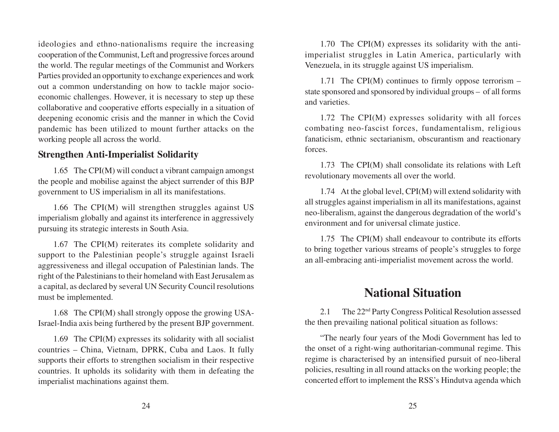ideologies and ethno-nationalisms require the increasing cooperation of the Communist, Left and progressive forces around the world. The regular meetings of the Communist and Workers Parties provided an opportunity to exchange experiences and work out a common understanding on how to tackle major socioeconomic challenges. However, it is necessary to step up these collaborative and cooperative efforts especially in a situation of deepening economic crisis and the manner in which the Covid pandemic has been utilized to mount further attacks on the working people all across the world.

#### **Strengthen Anti-Imperialist Solidarity**

1.65 The CPI(M) will conduct a vibrant campaign amongst the people and mobilise against the abject surrender of this BJP government to US imperialism in all its manifestations.

1.66 The CPI(M) will strengthen struggles against US imperialism globally and against its interference in aggressively pursuing its strategic interests in South Asia.

1.67 The CPI(M) reiterates its complete solidarity and support to the Palestinian people's struggle against Israeli aggressiveness and illegal occupation of Palestinian lands. The right of the Palestinians to their homeland with East Jerusalem as a capital, as declared by several UN Security Council resolutions must be implemented.

1.68 The CPI(M) shall strongly oppose the growing USA-Israel-India axis being furthered by the present BJP government.

1.69 The CPI(M) expresses its solidarity with all socialist countries – China, Vietnam, DPRK, Cuba and Laos. It fully supports their efforts to strengthen socialism in their respective countries. It upholds its solidarity with them in defeating the imperialist machinations against them.

1.70 The CPI(M) expresses its solidarity with the antiimperialist struggles in Latin America, particularly with Venezuela, in its struggle against US imperialism.

1.71 The CPI(M) continues to firmly oppose terrorism – state sponsored and sponsored by individual groups – of all forms and varieties.

1.72 The CPI(M) expresses solidarity with all forces combating neo-fascist forces, fundamentalism, religious fanaticism, ethnic sectarianism, obscurantism and reactionary forces.

1.73 The CPI(M) shall consolidate its relations with Left revolutionary movements all over the world.

1.74 At the global level, CPI(M) will extend solidarity with all struggles against imperialism in all its manifestations, against neo-liberalism, against the dangerous degradation of the world's environment and for universal climate justice.

1.75 The CPI(M) shall endeavour to contribute its efforts to bring together various streams of people's struggles to forge an all-embracing anti-imperialist movement across the world.

# **National Situation**

2.1 The 22nd Party Congress Political Resolution assessed the then prevailing national political situation as follows:

"The nearly four years of the Modi Government has led to the onset of a right-wing authoritarian-communal regime. This regime is characterised by an intensified pursuit of neo-liberal policies, resulting in all round attacks on the working people; the concerted effort to implement the RSS's Hindutva agenda which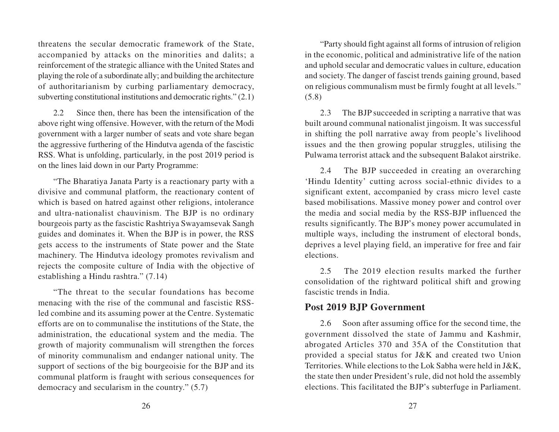threatens the secular democratic framework of the State, accompanied by attacks on the minorities and dalits; a reinforcement of the strategic alliance with the United States and playing the role of a subordinate ally; and building the architecture of authoritarianism by curbing parliamentary democracy, subverting constitutional institutions and democratic rights." (2.1)

2.2 Since then, there has been the intensification of the above right wing offensive. However, with the return of the Modi government with a larger number of seats and vote share began the aggressive furthering of the Hindutva agenda of the fascistic RSS. What is unfolding, particularly, in the post 2019 period is on the lines laid down in our Party Programme:

"The Bharatiya Janata Party is a reactionary party with a divisive and communal platform, the reactionary content of which is based on hatred against other religions, intolerance and ultra-nationalist chauvinism. The BJP is no ordinary bourgeois party as the fascistic Rashtriya Swayamsevak Sangh guides and dominates it. When the BJP is in power, the RSS gets access to the instruments of State power and the State machinery. The Hindutva ideology promotes revivalism and rejects the composite culture of India with the objective of establishing a Hindu rashtra." (7.14)

"The threat to the secular foundations has become menacing with the rise of the communal and fascistic RSSled combine and its assuming power at the Centre. Systematic efforts are on to communalise the institutions of the State, the administration, the educational system and the media. The growth of majority communalism will strengthen the forces of minority communalism and endanger national unity. The support of sections of the big bourgeoisie for the BJP and its communal platform is fraught with serious consequences for democracy and secularism in the country." (5.7)

"Party should fight against all forms of intrusion of religion in the economic, political and administrative life of the nation and uphold secular and democratic values in culture, education and society. The danger of fascist trends gaining ground, based on religious communalism must be firmly fought at all levels." (5.8)

2.3 The BJP succeeded in scripting a narrative that was built around communal nationalist jingoism. It was successful in shifting the poll narrative away from people's livelihood issues and the then growing popular struggles, utilising the Pulwama terrorist attack and the subsequent Balakot airstrike.

2.4 The BJP succeeded in creating an overarching 'Hindu Identity' cutting across social-ethnic divides to a significant extent, accompanied by crass micro level caste based mobilisations. Massive money power and control over the media and social media by the RSS-BJP influenced the results significantly. The BJP's money power accumulated in multiple ways, including the instrument of electoral bonds, deprives a level playing field, an imperative for free and fair elections.

2.5 The 2019 election results marked the further consolidation of the rightward political shift and growing fascistic trends in India.

# **Post 2019 BJP Government**

2.6 Soon after assuming office for the second time, the government dissolved the state of Jammu and Kashmir, abrogated Articles 370 and 35A of the Constitution that provided a special status for J&K and created two Union Territories. While elections to the Lok Sabha were held in J&K, the state then under President's rule, did not hold the assembly elections. This facilitated the BJP's subterfuge in Parliament.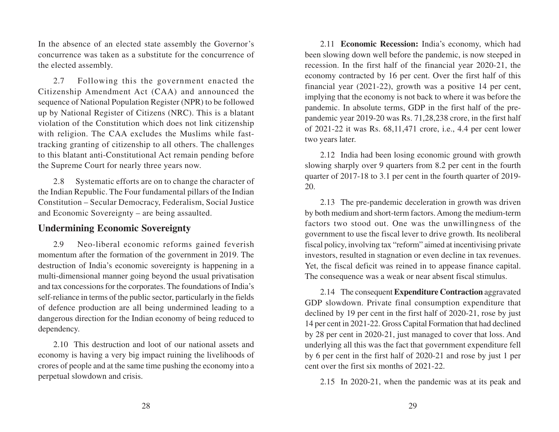In the absence of an elected state assembly the Governor's concurrence was taken as a substitute for the concurrence of the elected assembly.

2.7 Following this the government enacted the Citizenship Amendment Act (CAA) and announced the sequence of National Population Register (NPR) to be followed up by National Register of Citizens (NRC). This is a blatant violation of the Constitution which does not link citizenship with religion. The CAA excludes the Muslims while fasttracking granting of citizenship to all others. The challenges to this blatant anti-Constitutional Act remain pending before the Supreme Court for nearly three years now.

2.8 Systematic efforts are on to change the character of the Indian Republic. The Four fundamental pillars of the Indian Constitution – Secular Democracy, Federalism, Social Justice and Economic Sovereignty – are being assaulted.

#### **Undermining Economic Sovereignty**

2.9 Neo-liberal economic reforms gained feverish momentum after the formation of the government in 2019. The destruction of India's economic sovereignty is happening in a multi-dimensional manner going beyond the usual privatisation and tax concessions for the corporates. The foundations of India's self-reliance in terms of the public sector, particularly in the fields of defence production are all being undermined leading to a dangerous direction for the Indian economy of being reduced to dependency.

2.10 This destruction and loot of our national assets and economy is having a very big impact ruining the livelihoods of crores of people and at the same time pushing the economy into a perpetual slowdown and crisis.

2.11 **Economic Recession:** India's economy, which had been slowing down well before the pandemic, is now steeped in recession. In the first half of the financial year 2020-21, the economy contracted by 16 per cent. Over the first half of this financial year (2021-22), growth was a positive 14 per cent, implying that the economy is not back to where it was before the pandemic. In absolute terms, GDP in the first half of the prepandemic year 2019-20 was Rs. 71,28,238 crore, in the first half of 2021-22 it was Rs. 68,11,471 crore, i.e., 4.4 per cent lower two years later.

2.12 India had been losing economic ground with growth slowing sharply over 9 quarters from 8.2 per cent in the fourth quarter of 2017-18 to 3.1 per cent in the fourth quarter of 2019- 20.

2.13 The pre-pandemic deceleration in growth was driven by both medium and short-term factors. Among the medium-term factors two stood out. One was the unwillingness of the government to use the fiscal lever to drive growth. Its neoliberal fiscal policy, involving tax "reform" aimed at incentivising private investors, resulted in stagnation or even decline in tax revenues. Yet, the fiscal deficit was reined in to appease finance capital. The consequence was a weak or near absent fiscal stimulus.

2.14 The consequent **Expenditure Contraction** aggravated GDP slowdown. Private final consumption expenditure that declined by 19 per cent in the first half of 2020-21, rose by just 14 per cent in 2021-22. Gross Capital Formation that had declined by 28 per cent in 2020-21, just managed to cover that loss. And underlying all this was the fact that government expenditure fell by 6 per cent in the first half of 2020-21 and rose by just 1 per cent over the first six months of 2021-22.

2.15 In 2020-21, when the pandemic was at its peak and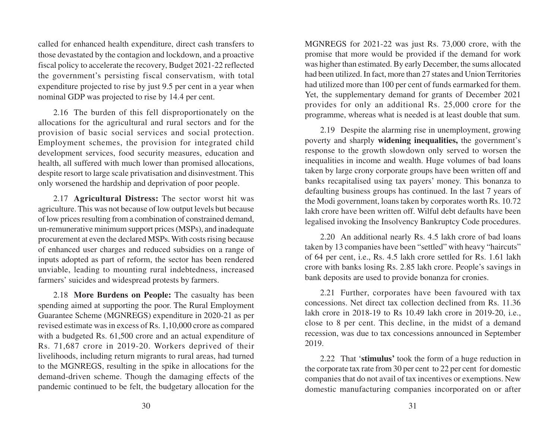called for enhanced health expenditure, direct cash transfers to those devastated by the contagion and lockdown, and a proactive fiscal policy to accelerate the recovery, Budget 2021-22 reflected the government's persisting fiscal conservatism, with total expenditure projected to rise by just 9.5 per cent in a year when nominal GDP was projected to rise by 14.4 per cent.

2.16 The burden of this fell disproportionately on the allocations for the agricultural and rural sectors and for the provision of basic social services and social protection. Employment schemes, the provision for integrated child development services, food security measures, education and health, all suffered with much lower than promised allocations, despite resort to large scale privatisation and disinvestment. This only worsened the hardship and deprivation of poor people.

2.17 **Agricultural Distress:** The sector worst hit was agriculture. This was not because of low output levels but because of low prices resulting from a combination of constrained demand, un-remunerative minimum support prices (MSPs), and inadequate procurement at even the declared MSPs. With costs rising because of enhanced user charges and reduced subsidies on a range of inputs adopted as part of reform, the sector has been rendered unviable, leading to mounting rural indebtedness, increased farmers' suicides and widespread protests by farmers.

2.18 **More Burdens on People:** The casualty has been spending aimed at supporting the poor. The Rural Employment Guarantee Scheme (MGNREGS) expenditure in 2020-21 as per revised estimate was in excess of Rs. 1,10,000 crore as compared with a budgeted Rs. 61,500 crore and an actual expenditure of Rs. 71,687 crore in 2019-20. Workers deprived of their livelihoods, including return migrants to rural areas, had turned to the MGNREGS, resulting in the spike in allocations for the demand-driven scheme. Though the damaging effects of the pandemic continued to be felt, the budgetary allocation for the

MGNREGS for 2021-22 was just Rs. 73,000 crore, with the promise that more would be provided if the demand for work was higher than estimated. By early December, the sums allocated had been utilized. In fact, more than 27 states and Union Territories had utilized more than 100 per cent of funds earmarked for them. Yet, the supplementary demand for grants of December 2021 provides for only an additional Rs. 25,000 crore for the programme, whereas what is needed is at least double that sum.

2.19 Despite the alarming rise in unemployment, growing poverty and sharply **widening inequalities,** the government's response to the growth slowdown only served to worsen the inequalities in income and wealth. Huge volumes of bad loans taken by large crony corporate groups have been written off and banks recapitalised using tax payers' money. This bonanza to defaulting business groups has continued. In the last 7 years of the Modi government, loans taken by corporates worth Rs. 10.72 lakh crore have been written off. Wilful debt defaults have been legalised invoking the Insolvency Bankruptcy Code procedures.

2.20 An additional nearly Rs. 4.5 lakh crore of bad loans taken by 13 companies have been "settled" with heavy "haircuts" of 64 per cent, i.e., Rs. 4.5 lakh crore settled for Rs. 1.61 lakh crore with banks losing Rs. 2.85 lakh crore. People's savings in bank deposits are used to provide bonanza for cronies.

2.21 Further, corporates have been favoured with tax concessions. Net direct tax collection declined from Rs. 11.36 lakh crore in 2018-19 to Rs 10.49 lakh crore in 2019-20, i.e., close to 8 per cent. This decline, in the midst of a demand recession, was due to tax concessions announced in September 2019.

2.22 That '**stimulus'** took the form of a huge reduction in the corporate tax rate from 30 per cent to 22 per cent for domestic companies that do not avail of tax incentives or exemptions. New domestic manufacturing companies incorporated on or after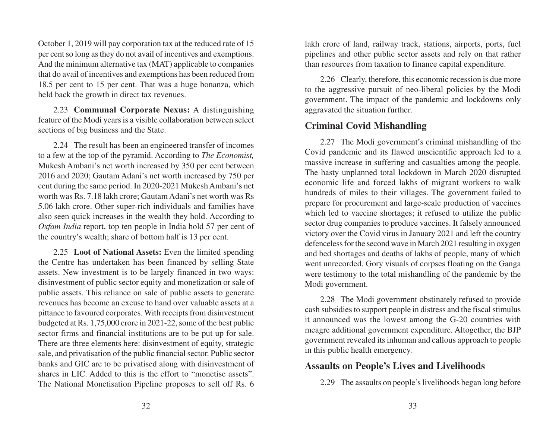October 1, 2019 will pay corporation tax at the reduced rate of 15 per cent so long as they do not avail of incentives and exemptions. And the minimum alternative tax (MAT) applicable to companies that do avail of incentives and exemptions has been reduced from 18.5 per cent to 15 per cent. That was a huge bonanza, which held back the growth in direct tax revenues.

2.23 **Communal Corporate Nexus:** A distinguishing feature of the Modi years is a visible collaboration between select sections of big business and the State.

2.24 The result has been an engineered transfer of incomes to a few at the top of the pyramid. According to *The Economist,* Mukesh Ambani's net worth increased by 350 per cent between 2016 and 2020; Gautam Adani's net worth increased by 750 per cent during the same period. In 2020-2021 Mukesh Ambani's net worth was Rs. 7.18 lakh crore; Gautam Adani's net worth was Rs 5.06 lakh crore. Other super-rich individuals and families have also seen quick increases in the wealth they hold. According to *Oxfam India* report, top ten people in India hold 57 per cent of the country's wealth; share of bottom half is 13 per cent.

2.25 **Loot of National Assets:** Even the limited spending the Centre has undertaken has been financed by selling State assets. New investment is to be largely financed in two ways: disinvestment of public sector equity and monetization or sale of public assets. This reliance on sale of public assets to generate revenues has become an excuse to hand over valuable assets at a pittance to favoured corporates. With receipts from disinvestment budgeted at Rs. 1,75,000 crore in 2021-22, some of the best public sector firms and financial institutions are to be put up for sale. There are three elements here: disinvestment of equity, strategic sale, and privatisation of the public financial sector. Public sector banks and GIC are to be privatised along with disinvestment of shares in LIC. Added to this is the effort to "monetise assets". The National Monetisation Pipeline proposes to sell off Rs. 6

lakh crore of land, railway track, stations, airports, ports, fuel pipelines and other public sector assets and rely on that rather than resources from taxation to finance capital expenditure.

2.26 Clearly, therefore, this economic recession is due more to the aggressive pursuit of neo-liberal policies by the Modi government. The impact of the pandemic and lockdowns only aggravated the situation further.

#### **Criminal Covid Mishandling**

2.27 The Modi government's criminal mishandling of the Covid pandemic and its flawed unscientific approach led to a massive increase in suffering and casualties among the people. The hasty unplanned total lockdown in March 2020 disrupted economic life and forced lakhs of migrant workers to walk hundreds of miles to their villages. The government failed to prepare for procurement and large-scale production of vaccines which led to vaccine shortages; it refused to utilize the public sector drug companies to produce vaccines. It falsely announced victory over the Covid virus in January 2021 and left the country defenceless for the second wave in March 2021 resulting in oxygen and bed shortages and deaths of lakhs of people, many of which went unrecorded. Gory visuals of corpses floating on the Ganga were testimony to the total mishandling of the pandemic by the Modi government.

2.28 The Modi government obstinately refused to provide cash subsidies to support people in distress and the fiscal stimulus it announced was the lowest among the G-20 countries with meagre additional government expenditure. Altogether, the BJP government revealed its inhuman and callous approach to people in this public health emergency.

#### **Assaults on People's Lives and Livelihoods**

2.29 The assaults on people's livelihoods began long before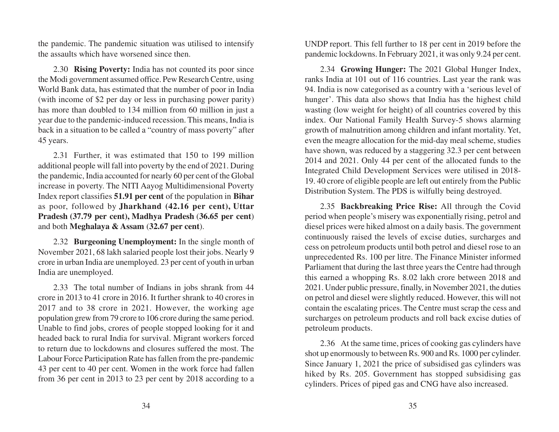the pandemic. The pandemic situation was utilised to intensify the assaults which have worsened since then.

2.30 **Rising Poverty:** India has not counted its poor since the Modi government assumed office. Pew Research Centre, using World Bank data, has estimated that the number of poor in India (with income of \$2 per day or less in purchasing power parity) has more than doubled to 134 million from 60 million in just a year due to the pandemic-induced recession. This means, India is back in a situation to be called a "country of mass poverty" after 45 years.

2.31 Further, it was estimated that 150 to 199 million additional people will fall into poverty by the end of 2021. During the pandemic, India accounted for nearly 60 per cent of the Global increase in poverty. The NITI Aayog Multidimensional Poverty Index report classifies **51.91 per cent** of the population in **Bihar** as poor, followed by **Jharkhand (42.16 per cent), Uttar Pradesh (37.79 per cent), Madhya Pradesh** (**36.65 per cent**) and both **Meghalaya & Assam** (**32.67 per cent**).

2.32 **Burgeoning Unemployment:** In the single month of November 2021, 68 lakh salaried people lost their jobs. Nearly 9 crore in urban India are unemployed. 23 per cent of youth in urban India are unemployed.

2.33 The total number of Indians in jobs shrank from 44 crore in 2013 to 41 crore in 2016. It further shrank to 40 crores in 2017 and to 38 crore in 2021. However, the working age population grew from 79 crore to 106 crore during the same period. Unable to find jobs, crores of people stopped looking for it and headed back to rural India for survival. Migrant workers forced to return due to lockdowns and closures suffered the most. The Labour Force Participation Rate has fallen from the pre-pandemic 43 per cent to 40 per cent. Women in the work force had fallen from 36 per cent in 2013 to 23 per cent by 2018 according to a

UNDP report. This fell further to 18 per cent in 2019 before the pandemic lockdowns. In February 2021, it was only 9.24 per cent.

2.34 **Growing Hunger:** The 2021 Global Hunger Index, ranks India at 101 out of 116 countries. Last year the rank was 94. India is now categorised as a country with a 'serious level of hunger'. This data also shows that India has the highest child wasting (low weight for height) of all countries covered by this index. Our National Family Health Survey-5 shows alarming growth of malnutrition among children and infant mortality. Yet, even the meagre allocation for the mid-day meal scheme, studies have shown, was reduced by a staggering 32.3 per cent between 2014 and 2021. Only 44 per cent of the allocated funds to the Integrated Child Development Services were utilised in 2018- 19. 40 crore of eligible people are left out entirely from the Public Distribution System. The PDS is wilfully being destroyed.

2.35 **Backbreaking Price Rise:** All through the Covid period when people's misery was exponentially rising, petrol and diesel prices were hiked almost on a daily basis. The government continuously raised the levels of excise duties, surcharges and cess on petroleum products until both petrol and diesel rose to an unprecedented Rs. 100 per litre. The Finance Minister informed Parliament that during the last three years the Centre had through this earned a whopping Rs. 8.02 lakh crore between 2018 and 2021. Under public pressure, finally, in November 2021, the duties on petrol and diesel were slightly reduced. However, this will not contain the escalating prices. The Centre must scrap the cess and surcharges on petroleum products and roll back excise duties of petroleum products.

2.36 At the same time, prices of cooking gas cylinders have shot up enormously to between Rs. 900 and Rs. 1000 per cylinder. Since January 1, 2021 the price of subsidised gas cylinders was hiked by Rs. 205. Government has stopped subsidising gas cylinders. Prices of piped gas and CNG have also increased.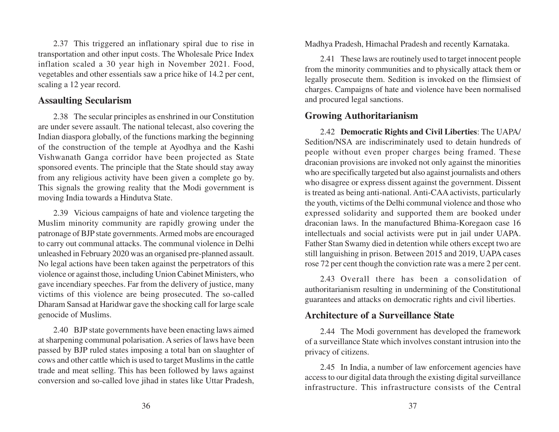2.37 This triggered an inflationary spiral due to rise in transportation and other input costs. The Wholesale Price Index inflation scaled a 30 year high in November 2021. Food, vegetables and other essentials saw a price hike of 14.2 per cent, scaling a 12 year record.

# **Assaulting Secularism**

2.38 The secular principles as enshrined in our Constitution are under severe assault. The national telecast, also covering the Indian diaspora globally, of the functions marking the beginning of the construction of the temple at Ayodhya and the Kashi Vishwanath Ganga corridor have been projected as State sponsored events. The principle that the State should stay away from any religious activity have been given a complete go by. This signals the growing reality that the Modi government is moving India towards a Hindutva State.

2.39 Vicious campaigns of hate and violence targeting the Muslim minority community are rapidly growing under the patronage of BJP state governments. Armed mobs are encouraged to carry out communal attacks. The communal violence in Delhi unleashed in February 2020 was an organised pre-planned assault. No legal actions have been taken against the perpetrators of this violence or against those, including Union Cabinet Ministers, who gave incendiary speeches. Far from the delivery of justice, many victims of this violence are being prosecuted. The so-called Dharam Sansad at Haridwar gave the shocking call for large scale genocide of Muslims.

2.40 BJP state governments have been enacting laws aimed at sharpening communal polarisation. A series of laws have been passed by BJP ruled states imposing a total ban on slaughter of cows and other cattle which is used to target Muslims in the cattle trade and meat selling. This has been followed by laws against conversion and so-called love jihad in states like Uttar Pradesh,

Madhya Pradesh, Himachal Pradesh and recently Karnataka.

2.41 These laws are routinely used to target innocent people from the minority communities and to physically attack them or legally prosecute them. Sedition is invoked on the flimsiest of charges. Campaigns of hate and violence have been normalised and procured legal sanctions.

# **Growing Authoritarianism**

2.42 **Democratic Rights and Civil Liberties**: The UAPA/ Sedition/NSA are indiscriminately used to detain hundreds of people without even proper charges being framed. These draconian provisions are invoked not only against the minorities who are specifically targeted but also against journalists and others who disagree or express dissent against the government. Dissent is treated as being anti-national. Anti-CAA activists, particularly the youth, victims of the Delhi communal violence and those who expressed solidarity and supported them are booked under draconian laws. In the manufactured Bhima-Koregaon case 16 intellectuals and social activists were put in jail under UAPA. Father Stan Swamy died in detention while others except two are still languishing in prison. Between 2015 and 2019, UAPA cases rose 72 per cent though the conviction rate was a mere 2 per cent.

2.43 Overall there has been a consolidation of authoritarianism resulting in undermining of the Constitutional guarantees and attacks on democratic rights and civil liberties.

# **Architecture of a Surveillance State**

2.44 The Modi government has developed the framework of a surveillance State which involves constant intrusion into the privacy of citizens.

2.45 In India, a number of law enforcement agencies have access to our digital data through the existing digital surveillance infrastructure. This infrastructure consists of the Central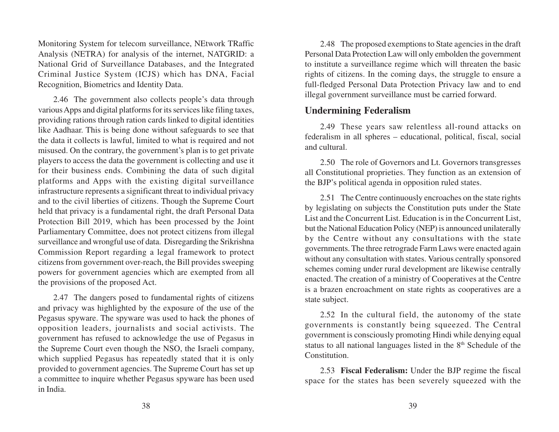Monitoring System for telecom surveillance, NEtwork TRaffic Analysis (NETRA) for analysis of the internet, NATGRID: a National Grid of Surveillance Databases, and the Integrated Criminal Justice System (ICJS) which has DNA, Facial Recognition, Biometrics and Identity Data.

2.46 The government also collects people's data through various Apps and digital platforms for its services like filing taxes, providing rations through ration cards linked to digital identities like Aadhaar. This is being done without safeguards to see that the data it collects is lawful, limited to what is required and not misused. On the contrary, the government's plan is to get private players to access the data the government is collecting and use it for their business ends. Combining the data of such digital platforms and Apps with the existing digital surveillance infrastructure represents a significant threat to individual privacy and to the civil liberties of citizens. Though the Supreme Court held that privacy is a fundamental right, the draft Personal Data Protection Bill 2019, which has been processed by the Joint Parliamentary Committee, does not protect citizens from illegal surveillance and wrongful use of data. Disregarding the Srikrishna Commission Report regarding a legal framework to protect citizens from government over-reach, the Bill provides sweeping powers for government agencies which are exempted from all the provisions of the proposed Act.

2.47 The dangers posed to fundamental rights of citizens and privacy was highlighted by the exposure of the use of the Pegasus spyware. The spyware was used to hack the phones of opposition leaders, journalists and social activists. The government has refused to acknowledge the use of Pegasus in the Supreme Court even though the NSO, the Israeli company, which supplied Pegasus has repeatedly stated that it is only provided to government agencies. The Supreme Court has set up a committee to inquire whether Pegasus spyware has been used in India.

2.48 The proposed exemptions to State agencies in the draft Personal Data Protection Law will only embolden the government to institute a surveillance regime which will threaten the basic rights of citizens. In the coming days, the struggle to ensure a full-fledged Personal Data Protection Privacy law and to end illegal government surveillance must be carried forward.

#### **Undermining Federalism**

2.49 These years saw relentless all-round attacks on federalism in all spheres – educational, political, fiscal, social and cultural.

2.50 The role of Governors and Lt. Governors transgresses all Constitutional proprieties. They function as an extension of the BJP's political agenda in opposition ruled states.

2.51 The Centre continuously encroaches on the state rights by legislating on subjects the Constitution puts under the State List and the Concurrent List. Education is in the Concurrent List, but the National Education Policy (NEP) is announced unilaterally by the Centre without any consultations with the state governments. The three retrograde Farm Laws were enacted again without any consultation with states. Various centrally sponsored schemes coming under rural development are likewise centrally enacted. The creation of a ministry of Cooperatives at the Centre is a brazen encroachment on state rights as cooperatives are a state subject.

2.52 In the cultural field, the autonomy of the state governments is constantly being squeezed. The Central government is consciously promoting Hindi while denying equal status to all national languages listed in the 8<sup>th</sup> Schedule of the Constitution.

2.53 **Fiscal Federalism:** Under the BJP regime the fiscal space for the states has been severely squeezed with the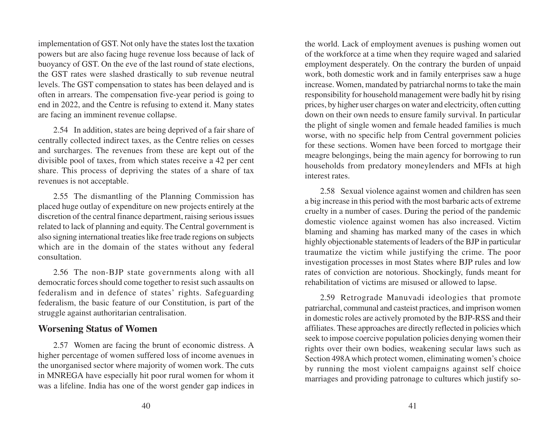implementation of GST. Not only have the states lost the taxation powers but are also facing huge revenue loss because of lack of buoyancy of GST. On the eve of the last round of state elections, the GST rates were slashed drastically to sub revenue neutral levels. The GST compensation to states has been delayed and is often in arrears. The compensation five-year period is going to end in 2022, and the Centre is refusing to extend it. Many states are facing an imminent revenue collapse.

2.54 In addition, states are being deprived of a fair share of centrally collected indirect taxes, as the Centre relies on cesses and surcharges. The revenues from these are kept out of the divisible pool of taxes, from which states receive a 42 per cent share. This process of depriving the states of a share of tax revenues is not acceptable.

2.55 The dismantling of the Planning Commission has placed huge outlay of expenditure on new projects entirely at the discretion of the central finance department, raising serious issues related to lack of planning and equity. The Central government is also signing international treaties like free trade regions on subjects which are in the domain of the states without any federal consultation.

2.56 The non-BJP state governments along with all democratic forces should come together to resist such assaults on federalism and in defence of states' rights. Safeguarding federalism, the basic feature of our Constitution, is part of the struggle against authoritarian centralisation.

#### **Worsening Status of Women**

2.57 Women are facing the brunt of economic distress. A higher percentage of women suffered loss of income avenues in the unorganised sector where majority of women work. The cuts in MNREGA have especially hit poor rural women for whom it was a lifeline. India has one of the worst gender gap indices in the world. Lack of employment avenues is pushing women out of the workforce at a time when they require waged and salaried employment desperately. On the contrary the burden of unpaid work, both domestic work and in family enterprises saw a huge increase. Women, mandated by patriarchal norms to take the main responsibility for household management were badly hit by rising prices, by higher user charges on water and electricity, often cutting down on their own needs to ensure family survival. In particular the plight of single women and female headed families is much worse, with no specific help from Central government policies for these sections. Women have been forced to mortgage their meagre belongings, being the main agency for borrowing to run households from predatory moneylenders and MFIs at high interest rates.

2.58 Sexual violence against women and children has seen a big increase in this period with the most barbaric acts of extreme cruelty in a number of cases. During the period of the pandemic domestic violence against women has also increased. Victim blaming and shaming has marked many of the cases in which highly objectionable statements of leaders of the BJP in particular traumatize the victim while justifying the crime. The poor investigation processes in most States where BJP rules and low rates of conviction are notorious. Shockingly, funds meant for rehabilitation of victims are misused or allowed to lapse.

2.59 Retrograde Manuvadi ideologies that promote patriarchal, communal and casteist practices, and imprison women in domestic roles are actively promoted by the BJP-RSS and their affiliates. These approaches are directly reflected in policies which seek to impose coercive population policies denying women their rights over their own bodies, weakening secular laws such as Section 498A which protect women, eliminating women's choice by running the most violent campaigns against self choice marriages and providing patronage to cultures which justify so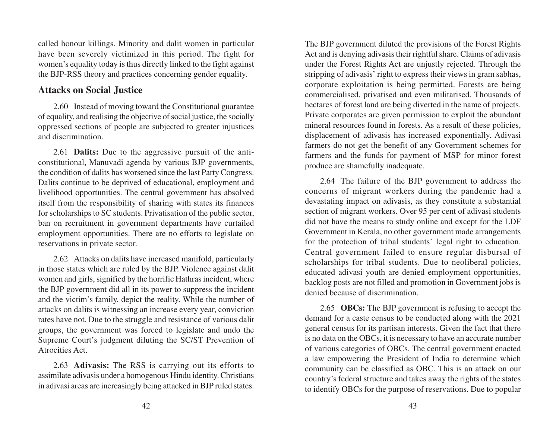called honour killings. Minority and dalit women in particular have been severely victimized in this period. The fight for women's equality today is thus directly linked to the fight against the BJP-RSS theory and practices concerning gender equality.

# **Attacks on Social Justice**

2.60 Instead of moving toward the Constitutional guarantee of equality, and realising the objective of social justice, the socially oppressed sections of people are subjected to greater injustices and discrimination.

2.61 **Dalits:** Due to the aggressive pursuit of the anticonstitutional, Manuvadi agenda by various BJP governments, the condition of dalits has worsened since the last Party Congress. Dalits continue to be deprived of educational, employment and livelihood opportunities. The central government has absolved itself from the responsibility of sharing with states its finances for scholarships to SC students. Privatisation of the public sector, ban on recruitment in government departments have curtailed employment opportunities. There are no efforts to legislate on reservations in private sector.

2.62 Attacks on dalits have increased manifold, particularly in those states which are ruled by the BJP. Violence against dalit women and girls, signified by the horrific Hathras incident, where the BJP government did all in its power to suppress the incident and the victim's family, depict the reality. While the number of attacks on dalits is witnessing an increase every year, conviction rates have not. Due to the struggle and resistance of various dalit groups, the government was forced to legislate and undo the Supreme Court's judgment diluting the SC/ST Prevention of Atrocities Act.

2.63 **Adivasis:** The RSS is carrying out its efforts to assimilate adivasis under a homogenous Hindu identity. Christians in adivasi areas are increasingly being attacked in BJP ruled states.

The BJP government diluted the provisions of the Forest Rights Act and is denying adivasis their rightful share. Claims of adivasis under the Forest Rights Act are unjustly rejected. Through the stripping of adivasis' right to express their views in gram sabhas, corporate exploitation is being permitted. Forests are being commercialised, privatised and even militarised. Thousands of hectares of forest land are being diverted in the name of projects. Private corporates are given permission to exploit the abundant mineral resources found in forests. As a result of these policies, displacement of adivasis has increased exponentially. Adivasi farmers do not get the benefit of any Government schemes for farmers and the funds for payment of MSP for minor forest produce are shamefully inadequate.

2.64 The failure of the BJP government to address the concerns of migrant workers during the pandemic had a devastating impact on adivasis, as they constitute a substantial section of migrant workers. Over 95 per cent of adivasi students did not have the means to study online and except for the LDF Government in Kerala, no other government made arrangements for the protection of tribal students' legal right to education. Central government failed to ensure regular disbursal of scholarships for tribal students. Due to neoliberal policies, educated adivasi youth are denied employment opportunities, backlog posts are not filled and promotion in Government jobs is denied because of discrimination.

2.65 **OBCs:** The BJP government is refusing to accept the demand for a caste census to be conducted along with the 2021 general census for its partisan interests. Given the fact that there is no data on the OBCs, it is necessary to have an accurate number of various categories of OBCs. The central government enacted a law empowering the President of India to determine which community can be classified as OBC. This is an attack on our country's federal structure and takes away the rights of the states to identify OBCs for the purpose of reservations. Due to popular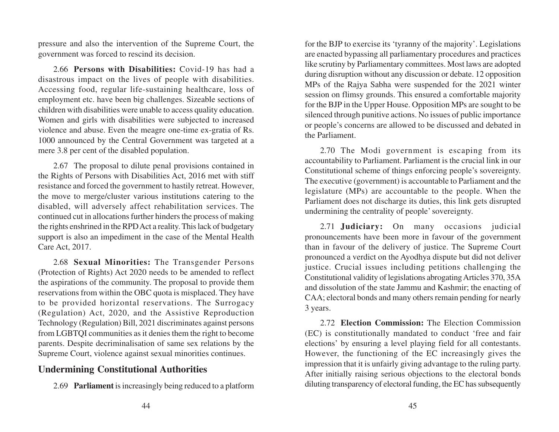pressure and also the intervention of the Supreme Court, the government was forced to rescind its decision.

2.66 **Persons with Disabilities:** Covid-19 has had a disastrous impact on the lives of people with disabilities. Accessing food, regular life-sustaining healthcare, loss of employment etc. have been big challenges. Sizeable sections of children with disabilities were unable to access quality education. Women and girls with disabilities were subjected to increased violence and abuse. Even the meagre one-time ex-gratia of Rs. 1000 announced by the Central Government was targeted at a mere 3.8 per cent of the disabled population.

2.67 The proposal to dilute penal provisions contained in the Rights of Persons with Disabilities Act, 2016 met with stiff resistance and forced the government to hastily retreat. However, the move to merge/cluster various institutions catering to the disabled, will adversely affect rehabilitation services. The continued cut in allocations further hinders the process of making the rights enshrined in the RPD Act a reality. This lack of budgetary support is also an impediment in the case of the Mental Health Care Act, 2017.

2.68 **Sexual Minorities:** The Transgender Persons (Protection of Rights) Act 2020 needs to be amended to reflect the aspirations of the community. The proposal to provide them reservations from within the OBC quota is misplaced. They have to be provided horizontal reservations. The Surrogacy (Regulation) Act, 2020, and the Assistive Reproduction Technology (Regulation) Bill, 2021 discriminates against persons from LGBTQI communities as it denies them the right to become parents. Despite decriminalisation of same sex relations by the Supreme Court, violence against sexual minorities continues.

# **Undermining Constitutional Authorities**

2.69 **Parliament** is increasingly being reduced to a platform

for the BJP to exercise its 'tyranny of the majority'. Legislations are enacted bypassing all parliamentary procedures and practices like scrutiny by Parliamentary committees. Most laws are adopted during disruption without any discussion or debate. 12 opposition MPs of the Rajya Sabha were suspended for the 2021 winter session on flimsy grounds. This ensured a comfortable majority for the BJP in the Upper House. Opposition MPs are sought to be silenced through punitive actions. No issues of public importance or people's concerns are allowed to be discussed and debated in the Parliament.

2.70 The Modi government is escaping from its accountability to Parliament. Parliament is the crucial link in our Constitutional scheme of things enforcing people's sovereignty. The executive (government) is accountable to Parliament and the legislature (MPs) are accountable to the people. When the Parliament does not discharge its duties, this link gets disrupted undermining the centrality of people' sovereignty.

2.71 **Judiciary:** On many occasions judicial pronouncements have been more in favour of the government than in favour of the delivery of justice. The Supreme Court pronounced a verdict on the Ayodhya dispute but did not deliver justice. Crucial issues including petitions challenging the Constitutional validity of legislations abrogating Articles 370, 35A and dissolution of the state Jammu and Kashmir; the enacting of CAA; electoral bonds and many others remain pending for nearly 3 years.

2.72 **Election Commission:** The Election Commission (EC) is constitutionally mandated to conduct 'free and fair elections' by ensuring a level playing field for all contestants. However, the functioning of the EC increasingly gives the impression that it is unfairly giving advantage to the ruling party. After initially raising serious objections to the electoral bonds diluting transparency of electoral funding, the EC has subsequently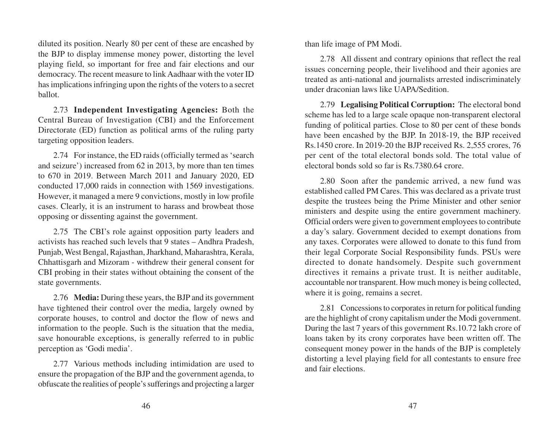diluted its position. Nearly 80 per cent of these are encashed by the BJP to display immense money power, distorting the level playing field, so important for free and fair elections and our democracy. The recent measure to link Aadhaar with the voter ID has implications infringing upon the rights of the voters to a secret ballot.

2.73 **Independent Investigating Agencies:** Both the Central Bureau of Investigation (CBI) and the Enforcement Directorate (ED) function as political arms of the ruling party targeting opposition leaders.

2.74 For instance, the ED raids (officially termed as 'search and seizure') increased from 62 in 2013, by more than ten times to 670 in 2019. Between March 2011 and January 2020, ED conducted 17,000 raids in connection with 1569 investigations. However, it managed a mere 9 convictions, mostly in low profile cases. Clearly, it is an instrument to harass and browbeat those opposing or dissenting against the government.

2.75 The CBI's role against opposition party leaders and activists has reached such levels that 9 states – Andhra Pradesh, Punjab, West Bengal, Rajasthan, Jharkhand, Maharashtra, Kerala, Chhattisgarh and Mizoram - withdrew their general consent for CBI probing in their states without obtaining the consent of the state governments.

2.76 **Media:** During these years, the BJP and its government have tightened their control over the media, largely owned by corporate houses, to control and doctor the flow of news and information to the people. Such is the situation that the media, save honourable exceptions, is generally referred to in public perception as 'Godi media'.

2.77 Various methods including intimidation are used to ensure the propagation of the BJP and the government agenda, to obfuscate the realities of people's sufferings and projecting a larger than life image of PM Modi.

2.78 All dissent and contrary opinions that reflect the real issues concerning people, their livelihood and their agonies are treated as anti-national and journalists arrested indiscriminately under draconian laws like UAPA/Sedition.

2.79 **Legalising Political Corruption:** The electoral bond scheme has led to a large scale opaque non-transparent electoral funding of political parties. Close to 80 per cent of these bonds have been encashed by the BJP. In 2018-19, the BJP received Rs.1450 crore. In 2019-20 the BJP received Rs. 2,555 crores, 76 per cent of the total electoral bonds sold. The total value of electoral bonds sold so far is Rs.7380.64 crore.

2.80 Soon after the pandemic arrived, a new fund was established called PM Cares. This was declared as a private trust despite the trustees being the Prime Minister and other senior ministers and despite using the entire government machinery. Official orders were given to government employees to contribute a day's salary. Government decided to exempt donations from any taxes. Corporates were allowed to donate to this fund from their legal Corporate Social Responsibility funds. PSUs were directed to donate handsomely. Despite such government directives it remains a private trust. It is neither auditable, accountable nor transparent. How much money is being collected, where it is going, remains a secret.

2.81 Concessions to corporates in return for political funding are the highlight of crony capitalism under the Modi government. During the last 7 years of this government Rs.10.72 lakh crore of loans taken by its crony corporates have been written off. The consequent money power in the hands of the BJP is completely distorting a level playing field for all contestants to ensure free and fair elections.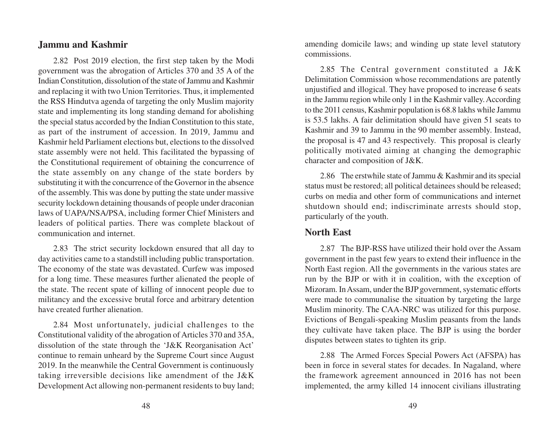#### **Jammu and Kashmir**

2.82 Post 2019 election, the first step taken by the Modi government was the abrogation of Articles 370 and 35 A of the Indian Constitution, dissolution of the state of Jammu and Kashmir and replacing it with two Union Territories. Thus, it implemented the RSS Hindutva agenda of targeting the only Muslim majority state and implementing its long standing demand for abolishing the special status accorded by the Indian Constitution to this state, as part of the instrument of accession. In 2019, Jammu and Kashmir held Parliament elections but, elections to the dissolved state assembly were not held. This facilitated the bypassing of the Constitutional requirement of obtaining the concurrence of the state assembly on any change of the state borders by substituting it with the concurrence of the Governor in the absence of the assembly. This was done by putting the state under massive security lockdown detaining thousands of people under draconian laws of UAPA/NSA/PSA, including former Chief Ministers and leaders of political parties. There was complete blackout of communication and internet.

2.83 The strict security lockdown ensured that all day to day activities came to a standstill including public transportation. The economy of the state was devastated. Curfew was imposed for a long time. These measures further alienated the people of the state. The recent spate of killing of innocent people due to militancy and the excessive brutal force and arbitrary detention have created further alienation.

2.84 Most unfortunately, judicial challenges to the Constitutional validity of the abrogation of Articles 370 and 35A, dissolution of the state through the 'J&K Reorganisation Act' continue to remain unheard by the Supreme Court since August 2019. In the meanwhile the Central Government is continuously taking irreversible decisions like amendment of the J&K Development Act allowing non-permanent residents to buy land; amending domicile laws; and winding up state level statutory commissions.

2.85 The Central government constituted a J&K Delimitation Commission whose recommendations are patently unjustified and illogical. They have proposed to increase 6 seats in the Jammu region while only 1 in the Kashmir valley. According to the 2011 census, Kashmir population is 68.8 lakhs while Jammu is 53.5 lakhs. A fair delimitation should have given 51 seats to Kashmir and 39 to Jammu in the 90 member assembly. Instead, the proposal is 47 and 43 respectively. This proposal is clearly politically motivated aiming at changing the demographic character and composition of J&K.

2.86 The erstwhile state of Jammu & Kashmir and its special status must be restored; all political detainees should be released; curbs on media and other form of communications and internet shutdown should end; indiscriminate arrests should stop, particularly of the youth.

# **North East**

2.87 The BJP-RSS have utilized their hold over the Assam government in the past few years to extend their influence in the North East region. All the governments in the various states are run by the BJP or with it in coalition, with the exception of Mizoram. In Assam, under the BJP government, systematic efforts were made to communalise the situation by targeting the large Muslim minority. The CAA-NRC was utilized for this purpose. Evictions of Bengali-speaking Muslim peasants from the lands they cultivate have taken place. The BJP is using the border disputes between states to tighten its grip.

2.88 The Armed Forces Special Powers Act (AFSPA) has been in force in several states for decades. In Nagaland, where the framework agreement announced in 2016 has not been implemented, the army killed 14 innocent civilians illustrating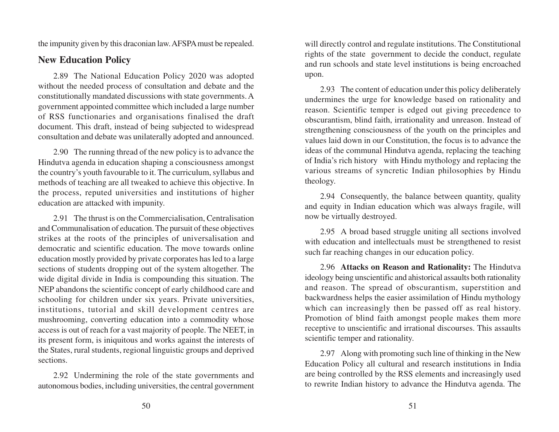the impunity given by this draconian law. AFSPA must be repealed.

# **New Education Policy**

2.89 The National Education Policy 2020 was adopted without the needed process of consultation and debate and the constitutionally mandated discussions with state governments. A government appointed committee which included a large number of RSS functionaries and organisations finalised the draft document. This draft, instead of being subjected to widespread consultation and debate was unilaterally adopted and announced.

2.90 The running thread of the new policy is to advance the Hindutva agenda in education shaping a consciousness amongst the country's youth favourable to it. The curriculum, syllabus and methods of teaching are all tweaked to achieve this objective. In the process, reputed universities and institutions of higher education are attacked with impunity.

2.91 The thrust is on the Commercialisation, Centralisation and Communalisation of education. The pursuit of these objectives strikes at the roots of the principles of universalisation and democratic and scientific education. The move towards online education mostly provided by private corporates has led to a large sections of students dropping out of the system altogether. The wide digital divide in India is compounding this situation. The NEP abandons the scientific concept of early childhood care and schooling for children under six years. Private universities, institutions, tutorial and skill development centres are mushrooming, converting education into a commodity whose access is out of reach for a vast majority of people. The NEET, in its present form, is iniquitous and works against the interests of the States, rural students, regional linguistic groups and deprived sections.

2.92 Undermining the role of the state governments and autonomous bodies, including universities, the central government will directly control and regulate institutions. The Constitutional rights of the state government to decide the conduct, regulate and run schools and state level institutions is being encroached upon.

2.93 The content of education under this policy deliberately undermines the urge for knowledge based on rationality and reason. Scientific temper is edged out giving precedence to obscurantism, blind faith, irrationality and unreason. Instead of strengthening consciousness of the youth on the principles and values laid down in our Constitution, the focus is to advance the ideas of the communal Hindutva agenda, replacing the teaching of India's rich history with Hindu mythology and replacing the various streams of syncretic Indian philosophies by Hindu theology.

2.94 Consequently, the balance between quantity, quality and equity in Indian education which was always fragile, will now be virtually destroyed.

2.95 A broad based struggle uniting all sections involved with education and intellectuals must be strengthened to resist such far reaching changes in our education policy.

2.96 **Attacks on Reason and Rationality:** The Hindutva ideology being unscientific and ahistorical assaults both rationality and reason. The spread of obscurantism, superstition and backwardness helps the easier assimilation of Hindu mythology which can increasingly then be passed off as real history. Promotion of blind faith amongst people makes them more receptive to unscientific and irrational discourses. This assaults scientific temper and rationality.

2.97 Along with promoting such line of thinking in the New Education Policy all cultural and research institutions in India are being controlled by the RSS elements and increasingly used to rewrite Indian history to advance the Hindutva agenda. The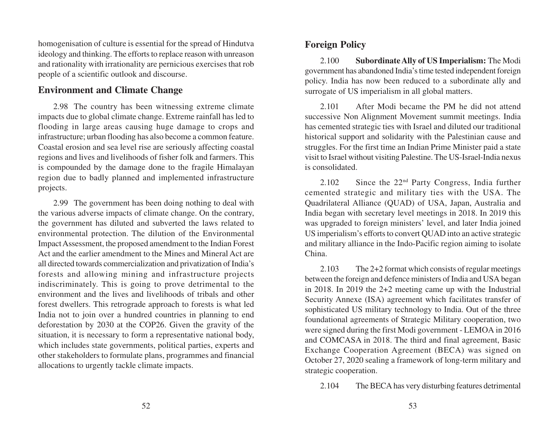homogenisation of culture is essential for the spread of Hindutva ideology and thinking. The efforts to replace reason with unreason and rationality with irrationality are pernicious exercises that rob people of a scientific outlook and discourse.

#### **Environment and Climate Change**

2.98 The country has been witnessing extreme climate impacts due to global climate change. Extreme rainfall has led to flooding in large areas causing huge damage to crops and infrastructure; urban flooding has also become a common feature. Coastal erosion and sea level rise are seriously affecting coastal regions and lives and livelihoods of fisher folk and farmers. This is compounded by the damage done to the fragile Himalayan region due to badly planned and implemented infrastructure projects.

2.99 The government has been doing nothing to deal with the various adverse impacts of climate change. On the contrary, the government has diluted and subverted the laws related to environmental protection. The dilution of the Environmental Impact Assessment, the proposed amendment to the Indian Forest Act and the earlier amendment to the Mines and Mineral Act are all directed towards commercialization and privatization of India's forests and allowing mining and infrastructure projects indiscriminately. This is going to prove detrimental to the environment and the lives and livelihoods of tribals and other forest dwellers. This retrograde approach to forests is what led India not to join over a hundred countries in planning to end deforestation by 2030 at the COP26. Given the gravity of the situation, it is necessary to form a representative national body, which includes state governments, political parties, experts and other stakeholders to formulate plans, programmes and financial allocations to urgently tackle climate impacts.

#### **Foreign Policy**

2.100 **Subordinate Ally of US Imperialism:** The Modi government has abandoned India's time tested independent foreign policy. India has now been reduced to a subordinate ally and surrogate of US imperialism in all global matters.

2.101 After Modi became the PM he did not attend successive Non Alignment Movement summit meetings. India has cemented strategic ties with Israel and diluted our traditional historical support and solidarity with the Palestinian cause and struggles. For the first time an Indian Prime Minister paid a state visit to Israel without visiting Palestine. The US-Israel-India nexus is consolidated.

2.102 Since the  $22<sup>nd</sup>$  Party Congress, India further cemented strategic and military ties with the USA. The Quadrilateral Alliance (QUAD) of USA, Japan, Australia and India began with secretary level meetings in 2018. In 2019 this was upgraded to foreign ministers' level, and later India joined US imperialism's efforts to convert QUAD into an active strategic and military alliance in the Indo-Pacific region aiming to isolate China.

2.103 The 2+2 format which consists of regular meetings between the foreign and defence ministers of India and USA began in 2018. In 2019 the 2+2 meeting came up with the Industrial Security Annexe (ISA) agreement which facilitates transfer of sophisticated US military technology to India. Out of the three foundational agreements of Strategic Military cooperation, two were signed during the first Modi government - LEMOA in 2016 and COMCASA in 2018. The third and final agreement, Basic Exchange Cooperation Agreement (BECA) was signed on October 27, 2020 sealing a framework of long-term military and strategic cooperation.

2.104 The BECA has very disturbing features detrimental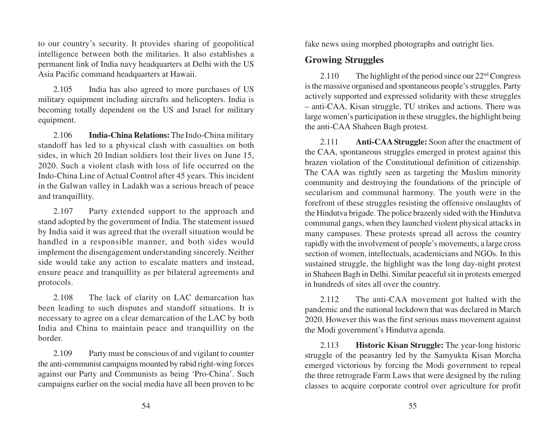to our country's security. It provides sharing of geopolitical intelligence between both the militaries. It also establishes a permanent link of India navy headquarters at Delhi with the US Asia Pacific command headquarters at Hawaii.

2.105 India has also agreed to more purchases of US military equipment including aircrafts and helicopters. India is becoming totally dependent on the US and Israel for military equipment.

2.106 **India-China Relations:** The Indo-China military standoff has led to a physical clash with casualties on both sides, in which 20 Indian soldiers lost their lives on June 15, 2020. Such a violent clash with loss of life occurred on the Indo-China Line of Actual Control after 45 years. This incident in the Galwan valley in Ladakh was a serious breach of peace and tranquillity.

2.107 Party extended support to the approach and stand adopted by the government of India. The statement issued by India said it was agreed that the overall situation would be handled in a responsible manner, and both sides would implement the disengagement understanding sincerely. Neither side would take any action to escalate matters and instead, ensure peace and tranquillity as per bilateral agreements and protocols.

2.108 The lack of clarity on LAC demarcation has been leading to such disputes and standoff situations. It is necessary to agree on a clear demarcation of the LAC by both India and China to maintain peace and tranquillity on the border.

2.109 Party must be conscious of and vigilant to counter the anti-communist campaigns mounted by rabid right-wing forces against our Party and Communists as being 'Pro-China'. Such campaigns earlier on the social media have all been proven to be

fake news using morphed photographs and outright lies.

# **Growing Struggles**

2.110 The highlight of the period since our 22nd Congress is the massive organised and spontaneous people's struggles. Party actively supported and expressed solidarity with these struggles – anti-CAA, Kisan struggle, TU strikes and actions. There was large women's participation in these struggles, the highlight being the anti-CAA Shaheen Bagh protest.

2.111 **Anti-CAA Struggle:** Soon after the enactment of the CAA, spontaneous struggles emerged in protest against this brazen violation of the Constitutional definition of citizenship. The CAA was rightly seen as targeting the Muslim minority community and destroying the foundations of the principle of secularism and communal harmony. The youth were in the forefront of these struggles resisting the offensive onslaughts of the Hindutva brigade. The police brazenly sided with the Hindutva communal gangs, when they launched violent physical attacks in many campuses. These protests spread all across the country rapidly with the involvement of people's movements, a large cross section of women, intellectuals, academicians and NGOs. In this sustained struggle, the highlight was the long day-night protest in Shaheen Bagh in Delhi. Similar peaceful sit in protests emerged in hundreds of sites all over the country.

2.112 The anti-CAA movement got halted with the pandemic and the national lockdown that was declared in March 2020. However this was the first serious mass movement against the Modi government's Hindutva agenda.

2.113 **Historic Kisan Struggle:** The year-long historic struggle of the peasantry led by the Samyukta Kisan Morcha emerged victorious by forcing the Modi government to repeal the three retrograde Farm Laws that were designed by the ruling classes to acquire corporate control over agriculture for profit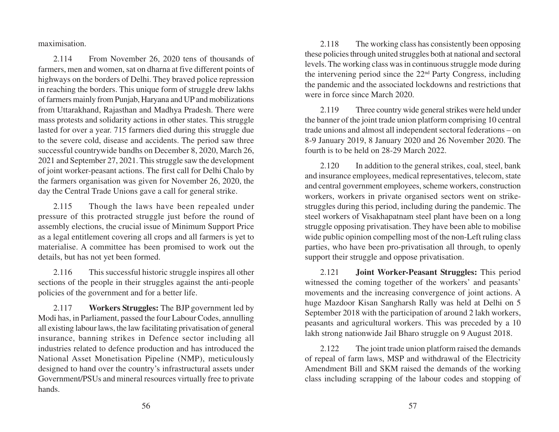maximisation.

2.114 From November 26, 2020 tens of thousands of farmers, men and women, sat on dharna at five different points of highways on the borders of Delhi. They braved police repression in reaching the borders. This unique form of struggle drew lakhs of farmers mainly from Punjab, Haryana and UP and mobilizations from Uttarakhand, Rajasthan and Madhya Pradesh. There were mass protests and solidarity actions in other states. This struggle lasted for over a year. 715 farmers died during this struggle due to the severe cold, disease and accidents. The period saw three successful countrywide bandhs on December 8, 2020, March 26, 2021 and September 27, 2021. This struggle saw the development of joint worker-peasant actions. The first call for Delhi Chalo by the farmers organisation was given for November 26, 2020, the day the Central Trade Unions gave a call for general strike.

2.115 Though the laws have been repealed under pressure of this protracted struggle just before the round of assembly elections, the crucial issue of Minimum Support Price as a legal entitlement covering all crops and all farmers is yet to materialise. A committee has been promised to work out the details, but has not yet been formed.

2.116 This successful historic struggle inspires all other sections of the people in their struggles against the anti-people policies of the government and for a better life.

2.117 **Workers Struggles:** The BJP government led by Modi has, in Parliament, passed the four Labour Codes, annulling all existing labour laws, the law facilitating privatisation of general insurance, banning strikes in Defence sector including all industries related to defence production and has introduced the National Asset Monetisation Pipeline (NMP), meticulously designed to hand over the country's infrastructural assets under Government/PSUs and mineral resources virtually free to private hands.

2.118 The working class has consistently been opposing these policies through united struggles both at national and sectoral levels. The working class was in continuous struggle mode during the intervening period since the 22nd Party Congress, including the pandemic and the associated lockdowns and restrictions that were in force since March 2020.

2.119 Three country wide general strikes were held under the banner of the joint trade union platform comprising 10 central trade unions and almost all independent sectoral federations – on 8-9 January 2019, 8 January 2020 and 26 November 2020. The fourth is to be held on 28-29 March 2022.

2.120 In addition to the general strikes, coal, steel, bank and insurance employees, medical representatives, telecom, state and central government employees, scheme workers, construction workers, workers in private organised sectors went on strikestruggles during this period, including during the pandemic. The steel workers of Visakhapatnam steel plant have been on a long struggle opposing privatisation. They have been able to mobilise wide public opinion compelling most of the non-Left ruling class parties, who have been pro-privatisation all through, to openly support their struggle and oppose privatisation.

2.121 **Joint Worker-Peasant Struggles:** This period witnessed the coming together of the workers' and peasants' movements and the increasing convergence of joint actions. A huge Mazdoor Kisan Sangharsh Rally was held at Delhi on 5 September 2018 with the participation of around 2 lakh workers, peasants and agricultural workers. This was preceded by a 10 lakh strong nationwide Jail Bharo struggle on 9 August 2018.

2.122 The joint trade union platform raised the demands of repeal of farm laws, MSP and withdrawal of the Electricity Amendment Bill and SKM raised the demands of the working class including scrapping of the labour codes and stopping of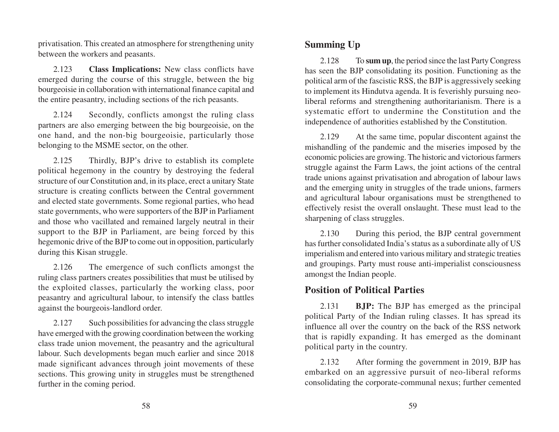privatisation. This created an atmosphere for strengthening unity between the workers and peasants.

2.123 **Class Implications:** New class conflicts have emerged during the course of this struggle, between the big bourgeoisie in collaboration with international finance capital and the entire peasantry, including sections of the rich peasants.

2.124 Secondly, conflicts amongst the ruling class partners are also emerging between the big bourgeoisie, on the one hand, and the non-big bourgeoisie, particularly those belonging to the MSME sector, on the other.

2.125 Thirdly, BJP's drive to establish its complete political hegemony in the country by destroying the federal structure of our Constitution and, in its place, erect a unitary State structure is creating conflicts between the Central government and elected state governments. Some regional parties, who head state governments, who were supporters of the BJP in Parliament and those who vacillated and remained largely neutral in their support to the BJP in Parliament, are being forced by this hegemonic drive of the BJP to come out in opposition, particularly during this Kisan struggle.

2.126 The emergence of such conflicts amongst the ruling class partners creates possibilities that must be utilised by the exploited classes, particularly the working class, poor peasantry and agricultural labour, to intensify the class battles against the bourgeois-landlord order.

2.127 Such possibilities for advancing the class struggle have emerged with the growing coordination between the working class trade union movement, the peasantry and the agricultural labour. Such developments began much earlier and since 2018 made significant advances through joint movements of these sections. This growing unity in struggles must be strengthened further in the coming period.

# **Summing Up**

2.128 To **sum up**, the period since the last Party Congress has seen the BJP consolidating its position. Functioning as the political arm of the fascistic RSS, the BJP is aggressively seeking to implement its Hindutva agenda. It is feverishly pursuing neoliberal reforms and strengthening authoritarianism. There is a systematic effort to undermine the Constitution and the independence of authorities established by the Constitution.

2.129 At the same time, popular discontent against the mishandling of the pandemic and the miseries imposed by the economic policies are growing. The historic and victorious farmers struggle against the Farm Laws, the joint actions of the central trade unions against privatisation and abrogation of labour laws and the emerging unity in struggles of the trade unions, farmers and agricultural labour organisations must be strengthened to effectively resist the overall onslaught. These must lead to the sharpening of class struggles.

2.130 During this period, the BJP central government has further consolidated India's status as a subordinate ally of US imperialism and entered into various military and strategic treaties and groupings. Party must rouse anti-imperialist consciousness amongst the Indian people.

# **Position of Political Parties**

2.131 **BJP:** The BJP has emerged as the principal political Party of the Indian ruling classes. It has spread its influence all over the country on the back of the RSS network that is rapidly expanding. It has emerged as the dominant political party in the country.

2.132 After forming the government in 2019, BJP has embarked on an aggressive pursuit of neo-liberal reforms consolidating the corporate-communal nexus; further cemented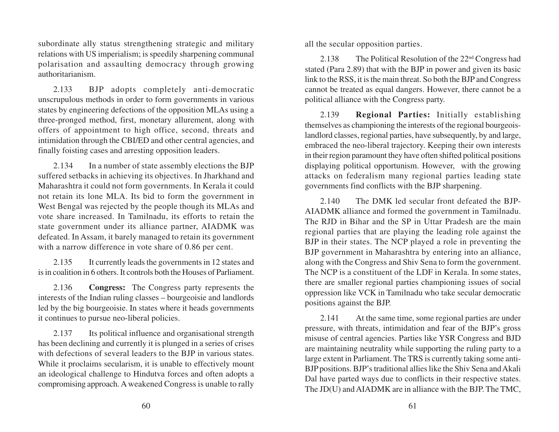subordinate ally status strengthening strategic and military relations with US imperialism; is speedily sharpening communal polarisation and assaulting democracy through growing authoritarianism.

2.133 BJP adopts completely anti-democratic unscrupulous methods in order to form governments in various states by engineering defections of the opposition MLAs using a three-pronged method, first, monetary allurement, along with offers of appointment to high office, second, threats and intimidation through the CBI/ED and other central agencies, and finally foisting cases and arresting opposition leaders.

2.134 In a number of state assembly elections the BJP suffered setbacks in achieving its objectives. In Jharkhand and Maharashtra it could not form governments. In Kerala it could not retain its lone MLA. Its bid to form the government in West Bengal was rejected by the people though its MLAs and vote share increased. In Tamilnadu, its efforts to retain the state government under its alliance partner, AIADMK was defeated. In Assam, it barely managed to retain its government with a narrow difference in vote share of 0.86 per cent.

2.135 It currently leads the governments in 12 states and is in coalition in 6 others. It controls both the Houses of Parliament.

2.136 **Congress:** The Congress party represents the interests of the Indian ruling classes – bourgeoisie and landlords led by the big bourgeoisie. In states where it heads governments it continues to pursue neo-liberal policies.

2.137 Its political influence and organisational strength has been declining and currently it is plunged in a series of crises with defections of several leaders to the BJP in various states. While it proclaims secularism, it is unable to effectively mount an ideological challenge to Hindutva forces and often adopts a compromising approach. A weakened Congress is unable to rally

all the secular opposition parties.

2.138 The Political Resolution of the 22nd Congress had stated (Para 2.89) that with the BJP in power and given its basic link to the RSS, it is the main threat. So both the BJP and Congress cannot be treated as equal dangers. However, there cannot be a political alliance with the Congress party.

2.139 **Regional Parties:** Initially establishing themselves as championing the interests of the regional bourgeoislandlord classes, regional parties, have subsequently, by and large, embraced the neo-liberal trajectory. Keeping their own interests in their region paramount they have often shifted political positions displaying political opportunism. However, with the growing attacks on federalism many regional parties leading state governments find conflicts with the BJP sharpening.

2.140 The DMK led secular front defeated the BJP-AIADMK alliance and formed the government in Tamilnadu. The RJD in Bihar and the SP in Uttar Pradesh are the main regional parties that are playing the leading role against the BJP in their states. The NCP played a role in preventing the BJP government in Maharashtra by entering into an alliance, along with the Congress and Shiv Sena to form the government. The NCP is a constituent of the LDF in Kerala. In some states, there are smaller regional parties championing issues of social oppression like VCK in Tamilnadu who take secular democratic positions against the BJP.

2.141 At the same time, some regional parties are under pressure, with threats, intimidation and fear of the BJP's gross misuse of central agencies. Parties like YSR Congress and BJD are maintaining neutrality while supporting the ruling party to a large extent in Parliament. The TRS is currently taking some anti-BJP positions. BJP's traditional allies like the Shiv Sena and Akali Dal have parted ways due to conflicts in their respective states. The JD(U) and AIADMK are in alliance with the BJP. The TMC,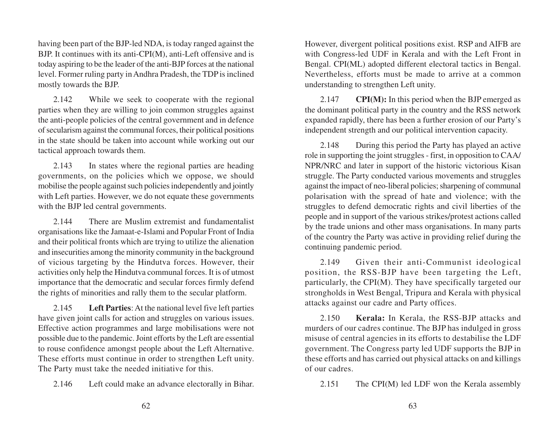having been part of the BJP-led NDA, is today ranged against the BJP. It continues with its anti-CPI(M), anti-Left offensive and is today aspiring to be the leader of the anti-BJP forces at the national level. Former ruling party in Andhra Pradesh, the TDP is inclined mostly towards the BJP.

2.142 While we seek to cooperate with the regional parties when they are willing to join common struggles against the anti-people policies of the central government and in defence of secularism against the communal forces, their political positions in the state should be taken into account while working out our tactical approach towards them.

2.143 In states where the regional parties are heading governments, on the policies which we oppose, we should mobilise the people against such policies independently and jointly with Left parties. However, we do not equate these governments with the BJP led central governments.

2.144 There are Muslim extremist and fundamentalist organisations like the Jamaat-e-Islami and Popular Front of India and their political fronts which are trying to utilize the alienation and insecurities among the minority community in the background of vicious targeting by the Hindutva forces. However, their activities only help the Hindutva communal forces. It is of utmost importance that the democratic and secular forces firmly defend the rights of minorities and rally them to the secular platform.

2.145 **Left Parties**: At the national level five left parties have given joint calls for action and struggles on various issues. Effective action programmes and large mobilisations were not possible due to the pandemic. Joint efforts by the Left are essential to rouse confidence amongst people about the Left Alternative. These efforts must continue in order to strengthen Left unity. The Party must take the needed initiative for this.

2.146 Left could make an advance electorally in Bihar.

However, divergent political positions exist. RSP and AIFB are with Congress-led UDF in Kerala and with the Left Front in Bengal. CPI(ML) adopted different electoral tactics in Bengal. Nevertheless, efforts must be made to arrive at a common understanding to strengthen Left unity.

2.147 **CPI(M):** In this period when the BJP emerged as the dominant political party in the country and the RSS network expanded rapidly, there has been a further erosion of our Party's independent strength and our political intervention capacity.

2.148 During this period the Party has played an active role in supporting the joint struggles - first, in opposition to CAA/ NPR/NRC and later in support of the historic victorious Kisan struggle. The Party conducted various movements and struggles against the impact of neo-liberal policies; sharpening of communal polarisation with the spread of hate and violence; with the struggles to defend democratic rights and civil liberties of the people and in support of the various strikes/protest actions called by the trade unions and other mass organisations. In many parts of the country the Party was active in providing relief during the continuing pandemic period.

2.149 Given their anti-Communist ideological position, the RSS-BJP have been targeting the Left, particularly, the CPI(M). They have specifically targeted our strongholds in West Bengal, Tripura and Kerala with physical attacks against our cadre and Party offices.

2.150 **Kerala:** In Kerala, the RSS-BJP attacks and murders of our cadres continue. The BJP has indulged in gross misuse of central agencies in its efforts to destabilise the LDF government. The Congress party led UDF supports the BJP in these efforts and has carried out physical attacks on and killings of our cadres.

2.151 The CPI(M) led LDF won the Kerala assembly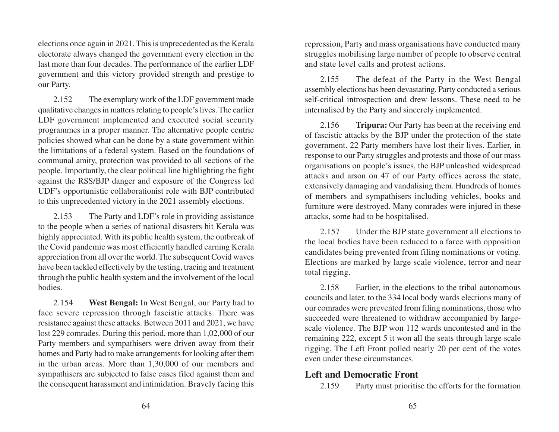elections once again in 2021. This is unprecedented as the Kerala electorate always changed the government every election in the last more than four decades. The performance of the earlier LDF government and this victory provided strength and prestige to our Party.

2.152 The exemplary work of the LDF government made qualitative changes in matters relating to people's lives. The earlier LDF government implemented and executed social security programmes in a proper manner. The alternative people centric policies showed what can be done by a state government within the limitations of a federal system. Based on the foundations of communal amity, protection was provided to all sections of the people. Importantly, the clear political line highlighting the fight against the RSS/BJP danger and exposure of the Congress led UDF's opportunistic collaborationist role with BJP contributed to this unprecedented victory in the 2021 assembly elections.

2.153 The Party and LDF's role in providing assistance to the people when a series of national disasters hit Kerala was highly appreciated. With its public health system, the outbreak of the Covid pandemic was most efficiently handled earning Kerala appreciation from all over the world. The subsequent Covid waves have been tackled effectively by the testing, tracing and treatment through the public health system and the involvement of the local bodies.

2.154 **West Bengal:** In West Bengal, our Party had to face severe repression through fascistic attacks. There was resistance against these attacks. Between 2011 and 2021, we have lost 229 comrades. During this period, more than 1,02,000 of our Party members and sympathisers were driven away from their homes and Party had to make arrangements for looking after them in the urban areas. More than 1,30,000 of our members and sympathisers are subjected to false cases filed against them and the consequent harassment and intimidation. Bravely facing this

repression, Party and mass organisations have conducted many struggles mobilising large number of people to observe central and state level calls and protest actions.

2.155 The defeat of the Party in the West Bengal assembly elections has been devastating. Party conducted a serious self-critical introspection and drew lessons. These need to be internalised by the Party and sincerely implemented.

2.156 **Tripura:** Our Party has been at the receiving end of fascistic attacks by the BJP under the protection of the state government. 22 Party members have lost their lives. Earlier, in response to our Party struggles and protests and those of our mass organisations on people's issues, the BJP unleashed widespread attacks and arson on 47 of our Party offices across the state, extensively damaging and vandalising them. Hundreds of homes of members and sympathisers including vehicles, books and furniture were destroyed. Many comrades were injured in these attacks, some had to be hospitalised.

2.157 Under the BJP state government all elections to the local bodies have been reduced to a farce with opposition candidates being prevented from filing nominations or voting. Elections are marked by large scale violence, terror and near total rigging.

2.158 Earlier, in the elections to the tribal autonomous councils and later, to the 334 local body wards elections many of our comrades were prevented from filing nominations, those who succeeded were threatened to withdraw accompanied by largescale violence. The BJP won 112 wards uncontested and in the remaining 222, except 5 it won all the seats through large scale rigging. The Left Front polled nearly 20 per cent of the votes even under these circumstances.

# **Left and Democratic Front**

2.159 Party must prioritise the efforts for the formation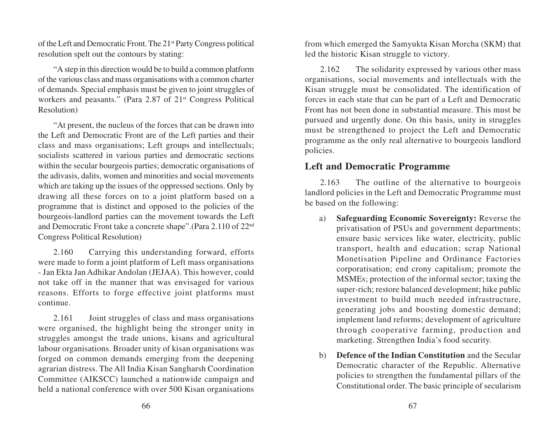of the Left and Democratic Front. The 21st Party Congress political resolution spelt out the contours by stating:

"A step in this direction would be to build a common platform of the various class and mass organisations with a common charter of demands. Special emphasis must be given to joint struggles of workers and peasants." (Para 2.87 of 21<sup>st</sup> Congress Political Resolution)

"At present, the nucleus of the forces that can be drawn into the Left and Democratic Front are of the Left parties and their class and mass organisations; Left groups and intellectuals; socialists scattered in various parties and democratic sections within the secular bourgeois parties; democratic organisations of the adivasis, dalits, women and minorities and social movements which are taking up the issues of the oppressed sections. Only by drawing all these forces on to a joint platform based on a programme that is distinct and opposed to the policies of the bourgeois-landlord parties can the movement towards the Left and Democratic Front take a concrete shape".(Para 2.110 of 22nd Congress Political Resolution)

2.160 Carrying this understanding forward, efforts were made to form a joint platform of Left mass organisations - Jan Ekta Jan Adhikar Andolan (JEJAA). This however, could not take off in the manner that was envisaged for various reasons. Efforts to forge effective joint platforms must continue.

2.161 Joint struggles of class and mass organisations were organised, the highlight being the stronger unity in struggles amongst the trade unions, kisans and agricultural labour organisations. Broader unity of kisan organisations was forged on common demands emerging from the deepening agrarian distress. The All India Kisan Sangharsh Coordination Committee (AIKSCC) launched a nationwide campaign and held a national conference with over 500 Kisan organisations

from which emerged the Samyukta Kisan Morcha (SKM) that led the historic Kisan struggle to victory.

2.162 The solidarity expressed by various other mass organisations, social movements and intellectuals with the Kisan struggle must be consolidated. The identification of forces in each state that can be part of a Left and Democratic Front has not been done in substantial measure. This must be pursued and urgently done. On this basis, unity in struggles must be strengthened to project the Left and Democratic programme as the only real alternative to bourgeois landlord policies.

#### **Left and Democratic Programme**

2.163 The outline of the alternative to bourgeois landlord policies in the Left and Democratic Programme must be based on the following:

- a) **Safeguarding Economic Sovereignty:** Reverse the privatisation of PSUs and government departments; ensure basic services like water, electricity, public transport, health and education; scrap National Monetisation Pipeline and Ordinance Factories corporatisation; end crony capitalism; promote the MSMEs; protection of the informal sector; taxing the super-rich; restore balanced development; hike public investment to build much needed infrastructure, generating jobs and boosting domestic demand; implement land reforms; development of agriculture through cooperative farming, production and marketing. Strengthen India's food security.
- b) **Defence of the Indian Constitution** and the Secular Democratic character of the Republic. Alternative policies to strengthen the fundamental pillars of the Constitutional order. The basic principle of secularism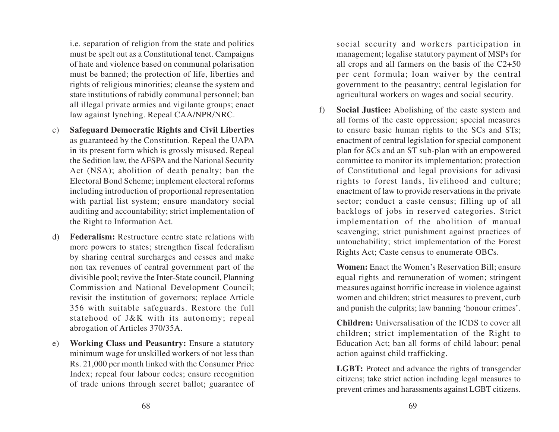i.e. separation of religion from the state and politics must be spelt out as a Constitutional tenet. Campaigns of hate and violence based on communal polarisation must be banned; the protection of life, liberties and rights of religious minorities; cleanse the system and state institutions of rabidly communal personnel; ban all illegal private armies and vigilante groups; enact law against lynching. Repeal CAA/NPR/NRC.

- c) **Safeguard Democratic Rights and Civil Liberties** as guaranteed by the Constitution. Repeal the UAPA in its present form which is grossly misused. Repeal the Sedition law, the AFSPA and the National Security Act (NSA); abolition of death penalty; ban the Electoral Bond Scheme; implement electoral reforms including introduction of proportional representation with partial list system; ensure mandatory social auditing and accountability; strict implementation of the Right to Information Act.
- d) **Federalism:** Restructure centre state relations with more powers to states; strengthen fiscal federalism by sharing central surcharges and cesses and make non tax revenues of central government part of the divisible pool; revive the Inter-State council, Planning Commission and National Development Council; revisit the institution of governors; replace Article 356 with suitable safeguards. Restore the full statehood of J&K with its autonomy; repeal abrogation of Articles 370/35A.
- e) **Working Class and Peasantry:** Ensure a statutory minimum wage for unskilled workers of not less than Rs. 21,000 per month linked with the Consumer Price Index; repeal four labour codes; ensure recognition of trade unions through secret ballot; guarantee of

social security and workers participation in management; legalise statutory payment of MSPs for all crops and all farmers on the basis of the C2+50 per cent formula; loan waiver by the central government to the peasantry; central legislation for agricultural workers on wages and social security.

f) **Social Justice:** Abolishing of the caste system and all forms of the caste oppression; special measures to ensure basic human rights to the SCs and STs; enactment of central legislation for special component plan for SCs and an ST sub-plan with an empowered committee to monitor its implementation; protection of Constitutional and legal provisions for adivasi rights to forest lands, livelihood and culture; enactment of law to provide reservations in the private sector; conduct a caste census; filling up of all backlogs of jobs in reserved categories. Strict implementation of the abolition of manual scavenging; strict punishment against practices of untouchability; strict implementation of the Forest Rights Act; Caste census to enumerate OBCs.

**Women:** Enact the Women's Reservation Bill; ensure equal rights and remuneration of women; stringent measures against horrific increase in violence against women and children; strict measures to prevent, curb and punish the culprits; law banning 'honour crimes'.

**Children:** Universalisation of the ICDS to cover all children; strict implementation of the Right to Education Act; ban all forms of child labour; penal action against child trafficking.

**LGBT:** Protect and advance the rights of transgender citizens; take strict action including legal measures to prevent crimes and harassments against LGBT citizens.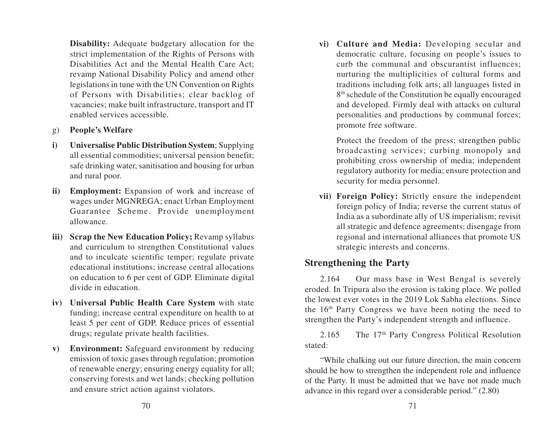**Disability:** Adequate budgetary allocation for the strict implementation of the Rights of Persons with Disabilities Act and the Mental Health Care Act; revamp National Disability Policy and amend other legislations in tune with the UN Convention on Rights of Persons with Disabilities; clear backlog of vacancies; make built infrastructure, transport and IT enabled services accessible.

#### g) **People's Welfar e**

- **i) Universalise Public Distribution System**; Supplying all essential commodities; universal pension benefit; safe drinking water, sanitisation and housing for urban and rural poor.
- **ii) Employment:** Expansion of work and increase of wages under MGNREGA; enact Urban Employment Guarantee Scheme. Provide unemployment allowance.
- **iii) Scrap the New Education Policy;** Revamp syllabus and curriculum to strengthen Constitutional values and to inculcate scientific temper; regulate private educational institutions; increase central allocations on education to 6 per cent of GDP. Eliminate digital divide in education.
- **iv) Universal Public Health Care System** with state funding; increase central expenditure on health to at least 5 per cent of GDP. Reduce prices of essential drugs; regulate private health facilities.
- **v) Environment:** Safeguard environment by reducing emission of toxic gases through regulation; promotion of renewable energy; ensuring energy equality for all; conserving forests and wet lands; checking pollution and ensure strict action against violators.

**vi) Culture and Media:** Developing secular and democratic culture, focusing on people's issues to curb the communal and obscurantist influences; nurturing the multiplicities of cultural forms and traditions including folk arts; all languages listed in 8<sup>th</sup> schedule of the Constitution be equally encouraged and developed. Firmly deal with attacks on cultural personalities and productions by communal forces; promote free software.

Protect the freedom of the press; strengthen public broadcasting services; curbing monopoly and prohibiting cross ownership of media; independent regulatory authority for media; ensure protection and security for media personnel.

**vii) Foreign Policy:** Strictly ensure the independent foreign policy of India; reverse the current status of India as a subordinate ally of US imperialism; revisit all strategic and defence agreements; disengage from regional and international alliances that promote US strategic interests and concerns.

# **Strengthening the Party**

2.164 Our mass base in West Bengal is severely eroded. In Tripura also the erosion is taking place. We polled the lowest ever votes in the 2019 Lok Sabha elections. Since the 16th Party Congress we have been noting the need to strengthen the Party's independent strength and influence.

2.165 The 17th Party Congress Political Resolution stated:

"While chalking out our future direction, the main concern should be how to strengthen the independent role and influence of the Party. It must be admitted that we have not made much advance in this regard over a considerable period." (2.80)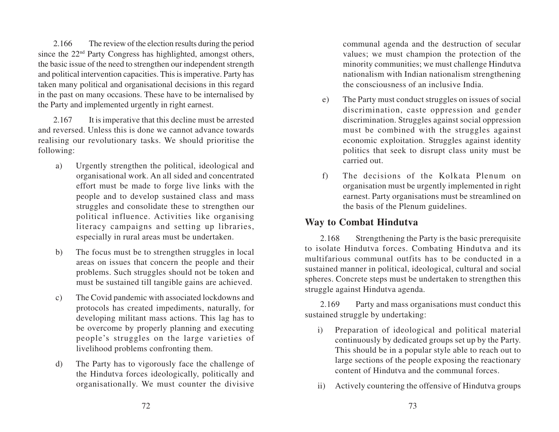2.166 The review of the election results during the period since the 22<sup>nd</sup> Party Congress has highlighted, amongst others, the basic issue of the need to strengthen our independent strength and political intervention capacities. This is imperative. Party has taken many political and organisational decisions in this regard in the past on many occasions. These have to be internalised by the Party and implemented urgently in right earnest.

2.167 It is imperative that this decline must be arrested and reversed. Unless this is done we cannot advance towards realising our revolutionary tasks. We should prioritise the following:

- a) Urgently strengthen the political, ideological and organisational work. An all sided and concentrated effort must be made to forge live links with the people and to develop sustained class and mass struggles and consolidate these to strengthen our political influence. Activities like organising literacy campaigns and setting up libraries, especially in rural areas must be undertaken.
- b) The focus must be to strengthen struggles in local areas on issues that concern the people and their problems. Such struggles should not be token and must be sustained till tangible gains are achieved.
- c) The Covid pandemic with associated lockdowns and protocols has created impediments, naturally, for developing militant mass actions. This lag has to be overcome by properly planning and executing people's struggles on the large varieties of livelihood problems confronting them.
- d) The Party has to vigorously face the challenge of the Hindutva forces ideologically, politically and organisationally. We must counter the divisive

communal agenda and the destruction of secular values; we must champion the protection of the minority communities; we must challenge Hindutva nationalism with Indian nationalism strengthening the consciousness of an inclusive India.

- e) The Party must conduct struggles on issues of social discrimination, caste oppression and gender discrimination. Struggles against social oppression must be combined with the struggles against economic exploitation. Struggles against identity politics that seek to disrupt class unity must be carried out.
- f) The decisions of the Kolkata Plenum on organisation must be urgently implemented in right earnest. Party organisations must be streamlined on the basis of the Plenum guidelines.

# **Way to Combat Hindutva**

2.168 Strengthening the Party is the basic prerequisite to isolate Hindutva forces. Combating Hindutva and its multifarious communal outfits has to be conducted in a sustained manner in political, ideological, cultural and social spheres. Concrete steps must be undertaken to strengthen this struggle against Hindutva agenda.

2.169 Party and mass organisations must conduct this sustained struggle by undertaking:

- i) Preparation of ideological and political material continuously by dedicated groups set up by the Party. This should be in a popular style able to reach out to large sections of the people exposing the reactionary content of Hindutva and the communal forces.
- ii) Actively countering the offensive of Hindutva groups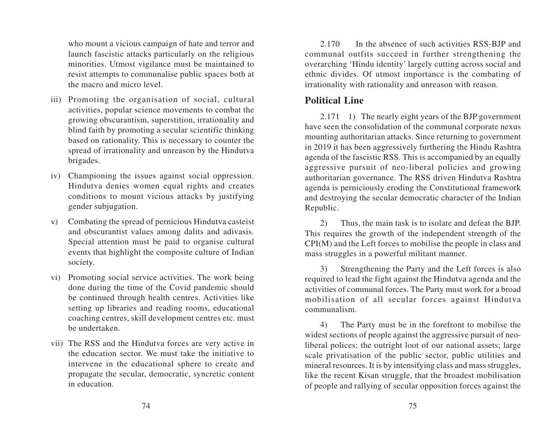who mount a vicious campaign of hate and terror and launch fascistic attacks particularly on the religious minorities. Utmost vigilance must be maintained to resist attempts to communalise public spaces both at the macro and micro level.

- iii) Promoting the organisation of social, cultural activities, popular science movements to combat the growing obscurantism, superstition, irrationality and blind faith by promoting a secular scientific thinking based on rationality. This is necessary to counter the spread of irrationality and unreason by the Hindutva brigades.
- iv) Championing the issues against social oppression. Hindutva denies women equal rights and creates conditions to mount vicious attacks by justifying gender subjugation.
- v) Combating the spread of pernicious Hindutva casteist and obscurantist values among dalits and adivasis. Special attention must be paid to organise cultural events that highlight the composite culture of Indian society.
- vi) Promoting social service activities. The work being done during the time of the Covid pandemic should be continued through health centres. Activities like setting up libraries and reading rooms, educational coaching centres, skill development centres etc. must be undertaken.
- vii) The RSS and the Hindutva forces are very active in the education sector. We must take the initiative to intervene in the educational sphere to create and propagate the secular, democratic, syncretic content in education.

2.170 In the absence of such activities RSS-BJP and communal outfits succeed in further strengthening the overarching 'Hindu identity' largely cutting across social and ethnic divides. Of utmost importance is the combating of irrationality with rationality and unreason with reason.

# **Political Line**

2.171 1) The nearly eight years of the BJP government have seen the consolidation of the communal corporate nexus mounting authoritarian attacks. Since returning to government in 2019 it has been aggressively furthering the Hindu Rashtra agenda of the fascistic RSS. This is accompanied by an equally aggressive pursuit of neo-liberal policies and growing authoritarian governance. The RSS driven Hindutva Rashtra agenda is perniciously eroding the Constitutional framework and destroying the secular democratic character of the Indian Republic.

2) Thus, the main task is to isolate and defeat the BJP. This requires the growth of the independent strength of the CPI(M) and the Left forces to mobilise the people in class and mass struggles in a powerful militant manner.

3) Strengthening the Party and the Left forces is also required to lead the fight against the Hindutva agenda and the activities of communal forces. The Party must work for a broad mobilisation of all secular forces against Hindutva communalism.

4) The Party must be in the forefront to mobilise the widest sections of people against the aggressive pursuit of neoliberal polices; the outright loot of our national assets; large scale privatisation of the public sector, public utilities and mineral resources. It is by intensifying class and mass struggles, like the recent Kisan struggle, that the broadest mobilisation of people and rallying of secular opposition forces against the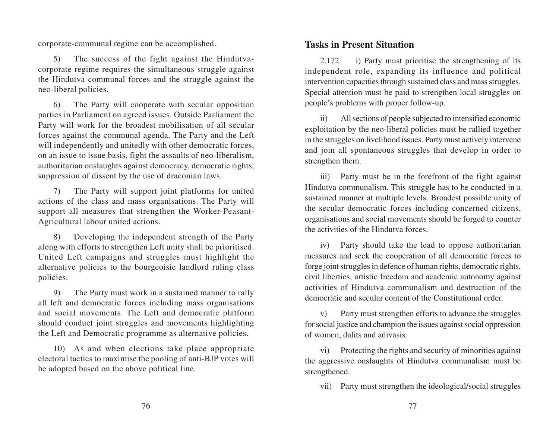corporate-communal regime can be accomplished.

5) The success of the fight against the Hindutvacorporate regime requires the simultaneous struggle against the Hindutva communal forces and the struggle against the neo-liberal policies.

6) The Party will cooperate with secular opposition parties in Parliament on agreed issues. Outside Parliament the Party will work for the broadest mobilisation of all secular forces against the communal agenda. The Party and the Left will independently and unitedly with other democratic forces, on an issue to issue basis, fight the assaults of neo-liberalism, authoritarian onslaughts against democracy, democratic rights, suppression of dissent by the use of draconian laws.

7) The Party will support joint platforms for united actions of the class and mass organisations. The Party will support all measures that strengthen the Worker-Peasant-Agricultural labour united actions.

8) Developing the independent strength of the Party along with efforts to strengthen Left unity shall be prioritised. United Left campaigns and struggles must highlight the alternative policies to the bourgeoisie landlord ruling class policies.

9) The Party must work in a sustained manner to rally all left and democratic forces including mass organisations and social movements. The Left and democratic platform should conduct joint struggles and movements highlighting the Left and Democratic programme as alternative policies.

10) As and when elections take place appropriate electoral tactics to maximise the pooling of anti-BJP votes will be adopted based on the above political line.

#### **Tasks in Present Situation**

2.172 i) Party must prioritise the strengthening of its independent role, expanding its influence and political intervention capacities through sustained class and mass struggles. Special attention must be paid to strengthen local struggles on people's problems with proper follow-up.

ii) All sections of people subjected to intensified economic exploitation by the neo-liberal policies must be rallied together in the struggles on livelihood issues. Party must actively intervene and join all spontaneous struggles that develop in order to strengthen them.

iii) Party must be in the forefront of the fight against Hindutva communalism. This struggle has to be conducted in a sustained manner at multiple levels. Broadest possible unity of the secular democratic forces including concerned citizens, organisations and social movements should be forged to counter the activities of the Hindutva forces.

iv) Party should take the lead to oppose authoritarian measures and seek the cooperation of all democratic forces to forge joint struggles in defence of human rights, democratic rights, civil liberties, artistic freedom and academic autonomy against activities of Hindutva communalism and destruction of the democratic and secular content of the Constitutional order.

v) Party must strengthen efforts to advance the struggles for social justice and champion the issues against social oppression of women, dalits and adivasis.

vi) Protecting the rights and security of minorities against the aggressive onslaughts of Hindutva communalism must be strengthened.

vii) Party must strengthen the ideological/social struggles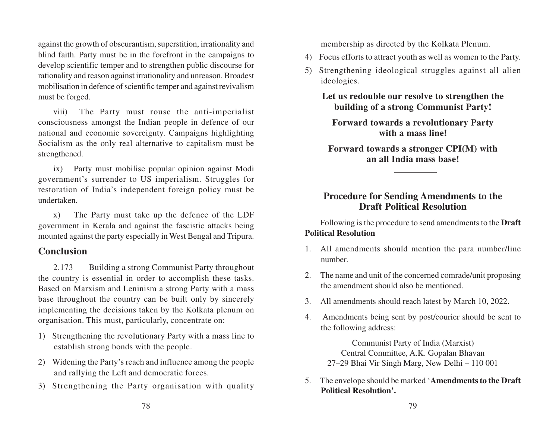against the growth of obscurantism, superstition, irrationality and blind faith. Party must be in the forefront in the campaigns to develop scientific temper and to strengthen public discourse for rationality and reason against irrationality and unreason. Broadest mobilisation in defence of scientific temper and against revivalism must be forged.

viii) The Party must rouse the anti-imperialist consciousness amongst the Indian people in defence of our national and economic sovereignty. Campaigns highlighting Socialism as the only real alternative to capitalism must be strengthened.

ix) Party must mobilise popular opinion against Modi governmen<sup>t</sup>'s surrender to US imperialism. Struggles for restoration of India's independent foreign policy must be undertaken.

x) The Party must take up the defence of the LDF government in Kerala and against the fascistic attacks being mounted against the party especially in West Bengal and Tripura.

#### **Conclusion**

2.173 Building a strong Communist Party throughout the country is essential in order to accomplish these tasks. Based on Marxism and Leninism a strong Party with a mass base throughout the country can be built only by sincerely implementing the decisions taken by the Kolkata plenum on organisation. This must, particularly, concentrate on:

- 1) Strengthening the revolutionary Party with a mass line to establish strong bonds with the people.
- 2) Widening the Party's reach and influence among the people and rallying the Left and democratic forces.
- 3) Strengthening the Party organisation with quality

membership as directed by the Kolkata Plenum.

- 4) Focus efforts to attract youth as well as women to the Party.
- 5) Strengthening ideological struggles against all alien ideologies.

**Let us redouble our resolve to strengthen the building of a strong Communist Party!**

**Forward towards a revolutionary Party with a mass line!**

**Forward towards a stronger CPI(M) with an all India mass base!**

#### **Procedure for Sending Amendments to the Draft Political Resolution**

Following is the procedure to send amendments to the **Draft Political Resolution**

- 1. All amendments should mention the para number/line number.
- 2. The name and unit of the concerned comrade/unit proposing the amendment should also be mentioned.
- 3. All amendments should reach latest by March 10, 2022.
- 4. Amendments being sent by post/courier should be sent to the following address:

Communist Party of India (Marxist) Central Committee, A.K. Gopalan Bhavan 27–29 Bhai Vir Singh Marg, New Delhi – 110 001

5. The envelope should be marked '**Amendments to the Draft Political Resolution'.**